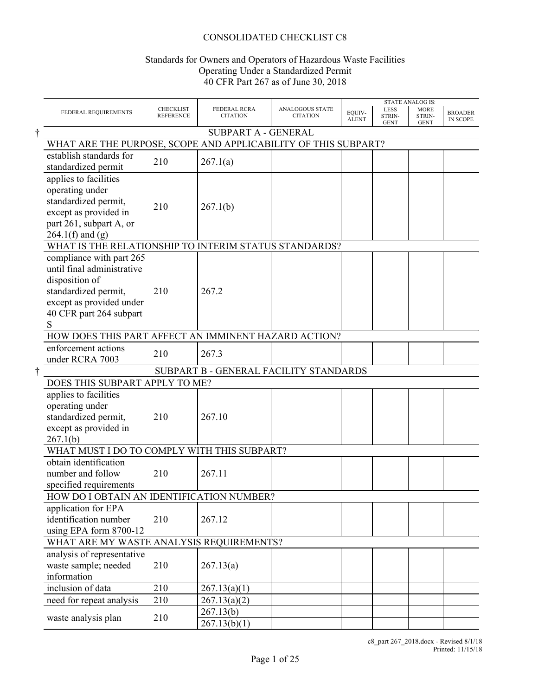# CONSOLIDATED CHECKLIST C8

# Standards for Owners and Operators of Hazardous Waste Facilities Operating Under a Standardized Permit 40 CFR Part 267 as of June 30, 2018

| FEDERAL REQUIREMENTS                                                                                                                                         | <b>CHECKLIST</b><br><b>REFERENCE</b> | FEDERAL RCRA<br><b>CITATION</b>        | <b>ANALOGOUS STATE</b><br><b>CITATION</b> | EQUIV-<br><b>ALENT</b> | LESS<br>STRIN-<br><b>GENT</b> | <b>MORE</b><br>STRIN-<br><b>GENT</b> | <b>BROADER</b><br><b>IN SCOPE</b> |
|--------------------------------------------------------------------------------------------------------------------------------------------------------------|--------------------------------------|----------------------------------------|-------------------------------------------|------------------------|-------------------------------|--------------------------------------|-----------------------------------|
|                                                                                                                                                              |                                      | SUBPART A - GENERAL                    |                                           |                        |                               |                                      |                                   |
| WHAT ARE THE PURPOSE, SCOPE AND APPLICABILITY OF THIS SUBPART?                                                                                               |                                      |                                        |                                           |                        |                               |                                      |                                   |
| establish standards for<br>standardized permit                                                                                                               | 210                                  | 267.1(a)                               |                                           |                        |                               |                                      |                                   |
| applies to facilities<br>operating under<br>standardized permit,<br>except as provided in<br>part 261, subpart A, or<br>$264.1(f)$ and (g)                   | 210                                  | 267.1(b)                               |                                           |                        |                               |                                      |                                   |
| WHAT IS THE RELATIONSHIP TO INTERIM STATUS STANDARDS?                                                                                                        |                                      |                                        |                                           |                        |                               |                                      |                                   |
| compliance with part 265<br>until final administrative<br>disposition of<br>standardized permit,<br>except as provided under<br>40 CFR part 264 subpart<br>S | 210                                  | 267.2                                  |                                           |                        |                               |                                      |                                   |
| HOW DOES THIS PART AFFECT AN IMMINENT HAZARD ACTION?                                                                                                         |                                      |                                        |                                           |                        |                               |                                      |                                   |
| enforcement actions<br>under RCRA 7003                                                                                                                       | 210                                  | 267.3                                  |                                           |                        |                               |                                      |                                   |
|                                                                                                                                                              |                                      | SUBPART B - GENERAL FACILITY STANDARDS |                                           |                        |                               |                                      |                                   |
| DOES THIS SUBPART APPLY TO ME?                                                                                                                               |                                      |                                        |                                           |                        |                               |                                      |                                   |
| applies to facilities<br>operating under<br>standardized permit,<br>except as provided in<br>267.1(b)                                                        | 210                                  | 267.10                                 |                                           |                        |                               |                                      |                                   |
| WHAT MUST I DO TO COMPLY WITH THIS SUBPART?                                                                                                                  |                                      |                                        |                                           |                        |                               |                                      |                                   |
| obtain identification<br>number and follow<br>specified requirements                                                                                         | 210                                  | 267.11                                 |                                           |                        |                               |                                      |                                   |
| HOW DO I OBTAIN AN IDENTIFICATION NUMBER?                                                                                                                    |                                      |                                        |                                           |                        |                               |                                      |                                   |
| application for EPA<br>identification number<br>using EPA form 8700-12                                                                                       | 210                                  | 267.12                                 |                                           |                        |                               |                                      |                                   |
| WHAT ARE MY WASTE ANALYSIS REQUIREMENTS?                                                                                                                     |                                      |                                        |                                           |                        |                               |                                      |                                   |
| analysis of representative<br>waste sample; needed<br>information                                                                                            | 210                                  | 267.13(a)                              |                                           |                        |                               |                                      |                                   |
| inclusion of data                                                                                                                                            | 210                                  | 267.13(a)(1)                           |                                           |                        |                               |                                      |                                   |
| need for repeat analysis                                                                                                                                     | 210                                  | 267.13(a)(2)                           |                                           |                        |                               |                                      |                                   |
| waste analysis plan                                                                                                                                          | 210                                  | 267.13(b)<br>267.13(b)(1)              |                                           |                        |                               |                                      |                                   |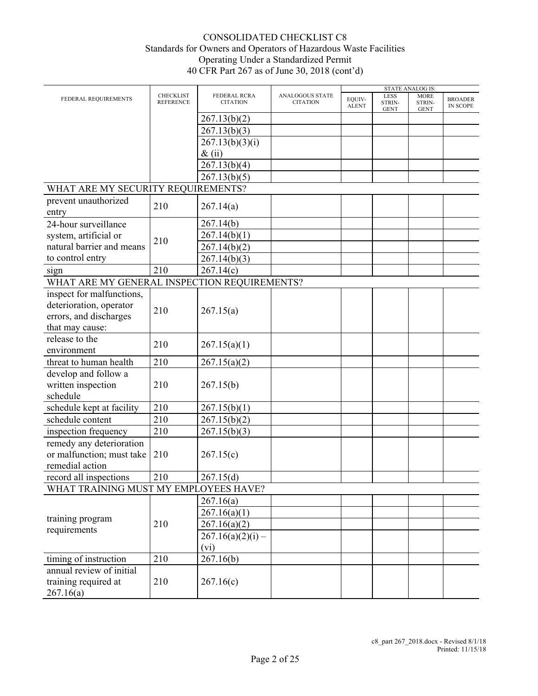<span id="page-1-1"></span><span id="page-1-0"></span>

|                                                      |                                      |                                 |                                    |                        |                                      | <b>STATE ANALOG IS:</b>              |                                   |
|------------------------------------------------------|--------------------------------------|---------------------------------|------------------------------------|------------------------|--------------------------------------|--------------------------------------|-----------------------------------|
| FEDERAL REQUIREMENTS                                 | <b>CHECKLIST</b><br><b>REFERENCE</b> | FEDERAL RCRA<br><b>CITATION</b> | ANALOGOUS STATE<br><b>CITATION</b> | EQUIV-<br><b>ALENT</b> | <b>LESS</b><br>STRIN-<br><b>GENT</b> | <b>MORE</b><br>STRIN-<br><b>GENT</b> | <b>BROADER</b><br><b>IN SCOPE</b> |
|                                                      |                                      | 267.13(b)(2)                    |                                    |                        |                                      |                                      |                                   |
|                                                      |                                      | 267.13(b)(3)                    |                                    |                        |                                      |                                      |                                   |
|                                                      |                                      | 267.13(b)(3)(i)                 |                                    |                        |                                      |                                      |                                   |
|                                                      |                                      | $\&$ (ii)                       |                                    |                        |                                      |                                      |                                   |
|                                                      |                                      | 267.13(b)(4)                    |                                    |                        |                                      |                                      |                                   |
|                                                      |                                      | 267.13(b)(5)                    |                                    |                        |                                      |                                      |                                   |
| WHAT ARE MY SECURITY REQUIREMENTS?                   |                                      |                                 |                                    |                        |                                      |                                      |                                   |
| prevent unauthorized                                 |                                      |                                 |                                    |                        |                                      |                                      |                                   |
| entry                                                | 210                                  | 267.14(a)                       |                                    |                        |                                      |                                      |                                   |
| 24-hour surveillance                                 |                                      | 267.14(b)                       |                                    |                        |                                      |                                      |                                   |
| system, artificial or                                |                                      | 267.14(b)(1)                    |                                    |                        |                                      |                                      |                                   |
| natural barrier and means                            | 210                                  | 267.14(b)(2)                    |                                    |                        |                                      |                                      |                                   |
| to control entry                                     |                                      | 267.14(b)(3)                    |                                    |                        |                                      |                                      |                                   |
|                                                      | 210                                  | 267.14(c)                       |                                    |                        |                                      |                                      |                                   |
| sign<br>WHAT ARE MY GENERAL INSPECTION REQUIREMENTS? |                                      |                                 |                                    |                        |                                      |                                      |                                   |
|                                                      |                                      |                                 |                                    |                        |                                      |                                      |                                   |
| inspect for malfunctions,                            |                                      |                                 |                                    |                        |                                      |                                      |                                   |
| deterioration, operator                              | 210                                  | 267.15(a)                       |                                    |                        |                                      |                                      |                                   |
| errors, and discharges                               |                                      |                                 |                                    |                        |                                      |                                      |                                   |
| that may cause:                                      |                                      |                                 |                                    |                        |                                      |                                      |                                   |
| release to the                                       | 210                                  | 267.15(a)(1)                    |                                    |                        |                                      |                                      |                                   |
| environment                                          |                                      |                                 |                                    |                        |                                      |                                      |                                   |
| threat to human health                               | 210                                  | 267.15(a)(2)                    |                                    |                        |                                      |                                      |                                   |
| develop and follow a                                 |                                      |                                 |                                    |                        |                                      |                                      |                                   |
| written inspection                                   | 210                                  | 267.15(b)                       |                                    |                        |                                      |                                      |                                   |
| schedule                                             |                                      |                                 |                                    |                        |                                      |                                      |                                   |
| schedule kept at facility                            | 210                                  | 267.15(b)(1)                    |                                    |                        |                                      |                                      |                                   |
| schedule content                                     | 210                                  | 267.15(b)(2)                    |                                    |                        |                                      |                                      |                                   |
| inspection frequency                                 | 210                                  | 267.15(b)(3)                    |                                    |                        |                                      |                                      |                                   |
| remedy any deterioration                             |                                      |                                 |                                    |                        |                                      |                                      |                                   |
| or malfunction; must take                            | 210                                  | 267.15(c)                       |                                    |                        |                                      |                                      |                                   |
| remedial action                                      |                                      |                                 |                                    |                        |                                      |                                      |                                   |
| record all inspections                               | 210                                  | 267.15(d)                       |                                    |                        |                                      |                                      |                                   |
| WHAT TRAINING MUST MY EMPLOYEES HAVE?                |                                      |                                 |                                    |                        |                                      |                                      |                                   |
|                                                      |                                      | 267.16(a)                       |                                    |                        |                                      |                                      |                                   |
|                                                      |                                      | 267.16(a)(1)                    |                                    |                        |                                      |                                      |                                   |
| training program                                     | 210                                  | 267.16(a)(2)                    |                                    |                        |                                      |                                      |                                   |
| requirements                                         |                                      | $267.16(a)(2)(i)$ –             |                                    |                        |                                      |                                      |                                   |
|                                                      |                                      | (vi)                            |                                    |                        |                                      |                                      |                                   |
|                                                      |                                      |                                 |                                    |                        |                                      |                                      |                                   |
| timing of instruction                                | 210                                  | 267.16(b)                       |                                    |                        |                                      |                                      |                                   |
| annual review of initial                             |                                      |                                 |                                    |                        |                                      |                                      |                                   |
| training required at                                 | 210                                  | 267.16(c)                       |                                    |                        |                                      |                                      |                                   |
| 267.16(a)                                            |                                      |                                 |                                    |                        |                                      |                                      |                                   |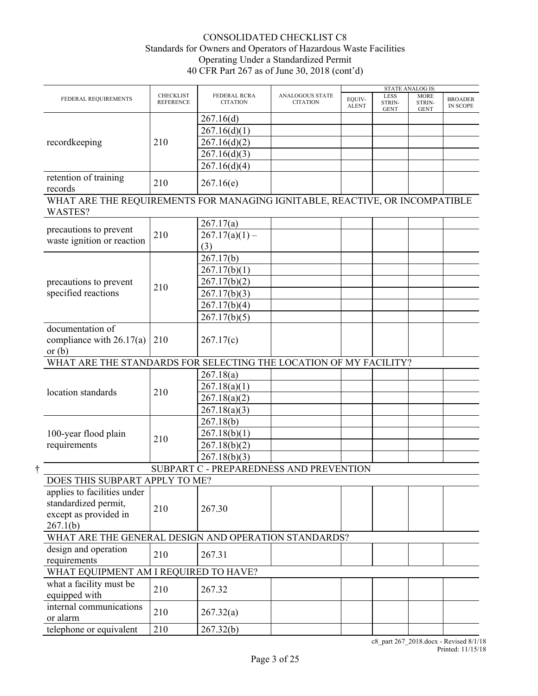| <b>CHECKLIST</b><br><b>FEDERAL RCRA</b><br><b>ANALOGOUS STATE</b><br>LESS<br><b>MORE</b><br>EQUIV-<br>FEDERAL REQUIREMENTS<br><b>BROADER</b><br><b>REFERENCE</b><br><b>CITATION</b><br><b>CITATION</b><br>STRIN-<br>STRIN-<br><b>ALENT</b><br><b>IN SCOPE</b><br><b>GENT</b><br><b>GENT</b><br>267.16(d)<br>267.16(d)(1)<br>267.16(d)(2)<br>recordkeeping<br>210<br>267.16(d)(3)<br>267.16(d)(4)<br>retention of training<br>210<br>267.16(e)<br>records<br>WHAT ARE THE REQUIREMENTS FOR MANAGING IGNITABLE, REACTIVE, OR INCOMPATIBLE<br>WASTES?<br>267.17(a)<br>precautions to prevent<br>210<br>$267.17(a)(1) -$<br>waste ignition or reaction<br>(3)<br>267.17(b)<br>267.17(b)(1)<br>267.17(b)(2)<br>precautions to prevent<br>210<br>specified reactions<br>267.17(b)(3)<br>267.17(b)(4)<br>267.17(b)(5)<br>documentation of<br>compliance with $26.17(a)$<br>210<br>267.17(c)<br>or $(b)$<br>WHAT ARE THE STANDARDS FOR SELECTING THE LOCATION OF MY FACILITY?<br>267.18(a)<br>267.18(a)(1)<br>location standards<br>210<br>267.18(a)(2)<br>267.18(a)(3)<br>267.18(b)<br>267.18(b)(1)<br>100-year flood plain<br>210<br>requirements<br>267.18(b)(2)<br>267.18(b)(3)<br>SUBPART C - PREPAREDNESS AND PREVENTION<br>DOES THIS SUBPART APPLY TO ME?<br>applies to facilities under<br>standardized permit,<br>210<br>267.30<br>except as provided in<br>267.1(b)<br>WHAT ARE THE GENERAL DESIGN AND OPERATION STANDARDS?<br>design and operation<br>210<br>267.31<br>requirements<br>WHAT EQUIPMENT AM I REQUIRED TO HAVE?<br>what a facility must be<br>210<br>267.32 |               |  |  | <b>STATE ANALOG IS:</b> |  |
|-----------------------------------------------------------------------------------------------------------------------------------------------------------------------------------------------------------------------------------------------------------------------------------------------------------------------------------------------------------------------------------------------------------------------------------------------------------------------------------------------------------------------------------------------------------------------------------------------------------------------------------------------------------------------------------------------------------------------------------------------------------------------------------------------------------------------------------------------------------------------------------------------------------------------------------------------------------------------------------------------------------------------------------------------------------------------------------------------------------------------------------------------------------------------------------------------------------------------------------------------------------------------------------------------------------------------------------------------------------------------------------------------------------------------------------------------------------------------------------------------------------------------------------------------------------------------------|---------------|--|--|-------------------------|--|
|                                                                                                                                                                                                                                                                                                                                                                                                                                                                                                                                                                                                                                                                                                                                                                                                                                                                                                                                                                                                                                                                                                                                                                                                                                                                                                                                                                                                                                                                                                                                                                             |               |  |  |                         |  |
|                                                                                                                                                                                                                                                                                                                                                                                                                                                                                                                                                                                                                                                                                                                                                                                                                                                                                                                                                                                                                                                                                                                                                                                                                                                                                                                                                                                                                                                                                                                                                                             |               |  |  |                         |  |
|                                                                                                                                                                                                                                                                                                                                                                                                                                                                                                                                                                                                                                                                                                                                                                                                                                                                                                                                                                                                                                                                                                                                                                                                                                                                                                                                                                                                                                                                                                                                                                             |               |  |  |                         |  |
|                                                                                                                                                                                                                                                                                                                                                                                                                                                                                                                                                                                                                                                                                                                                                                                                                                                                                                                                                                                                                                                                                                                                                                                                                                                                                                                                                                                                                                                                                                                                                                             |               |  |  |                         |  |
|                                                                                                                                                                                                                                                                                                                                                                                                                                                                                                                                                                                                                                                                                                                                                                                                                                                                                                                                                                                                                                                                                                                                                                                                                                                                                                                                                                                                                                                                                                                                                                             |               |  |  |                         |  |
|                                                                                                                                                                                                                                                                                                                                                                                                                                                                                                                                                                                                                                                                                                                                                                                                                                                                                                                                                                                                                                                                                                                                                                                                                                                                                                                                                                                                                                                                                                                                                                             |               |  |  |                         |  |
|                                                                                                                                                                                                                                                                                                                                                                                                                                                                                                                                                                                                                                                                                                                                                                                                                                                                                                                                                                                                                                                                                                                                                                                                                                                                                                                                                                                                                                                                                                                                                                             |               |  |  |                         |  |
|                                                                                                                                                                                                                                                                                                                                                                                                                                                                                                                                                                                                                                                                                                                                                                                                                                                                                                                                                                                                                                                                                                                                                                                                                                                                                                                                                                                                                                                                                                                                                                             |               |  |  |                         |  |
|                                                                                                                                                                                                                                                                                                                                                                                                                                                                                                                                                                                                                                                                                                                                                                                                                                                                                                                                                                                                                                                                                                                                                                                                                                                                                                                                                                                                                                                                                                                                                                             |               |  |  |                         |  |
|                                                                                                                                                                                                                                                                                                                                                                                                                                                                                                                                                                                                                                                                                                                                                                                                                                                                                                                                                                                                                                                                                                                                                                                                                                                                                                                                                                                                                                                                                                                                                                             |               |  |  |                         |  |
|                                                                                                                                                                                                                                                                                                                                                                                                                                                                                                                                                                                                                                                                                                                                                                                                                                                                                                                                                                                                                                                                                                                                                                                                                                                                                                                                                                                                                                                                                                                                                                             |               |  |  |                         |  |
|                                                                                                                                                                                                                                                                                                                                                                                                                                                                                                                                                                                                                                                                                                                                                                                                                                                                                                                                                                                                                                                                                                                                                                                                                                                                                                                                                                                                                                                                                                                                                                             |               |  |  |                         |  |
|                                                                                                                                                                                                                                                                                                                                                                                                                                                                                                                                                                                                                                                                                                                                                                                                                                                                                                                                                                                                                                                                                                                                                                                                                                                                                                                                                                                                                                                                                                                                                                             |               |  |  |                         |  |
|                                                                                                                                                                                                                                                                                                                                                                                                                                                                                                                                                                                                                                                                                                                                                                                                                                                                                                                                                                                                                                                                                                                                                                                                                                                                                                                                                                                                                                                                                                                                                                             |               |  |  |                         |  |
|                                                                                                                                                                                                                                                                                                                                                                                                                                                                                                                                                                                                                                                                                                                                                                                                                                                                                                                                                                                                                                                                                                                                                                                                                                                                                                                                                                                                                                                                                                                                                                             |               |  |  |                         |  |
|                                                                                                                                                                                                                                                                                                                                                                                                                                                                                                                                                                                                                                                                                                                                                                                                                                                                                                                                                                                                                                                                                                                                                                                                                                                                                                                                                                                                                                                                                                                                                                             |               |  |  |                         |  |
|                                                                                                                                                                                                                                                                                                                                                                                                                                                                                                                                                                                                                                                                                                                                                                                                                                                                                                                                                                                                                                                                                                                                                                                                                                                                                                                                                                                                                                                                                                                                                                             |               |  |  |                         |  |
|                                                                                                                                                                                                                                                                                                                                                                                                                                                                                                                                                                                                                                                                                                                                                                                                                                                                                                                                                                                                                                                                                                                                                                                                                                                                                                                                                                                                                                                                                                                                                                             |               |  |  |                         |  |
|                                                                                                                                                                                                                                                                                                                                                                                                                                                                                                                                                                                                                                                                                                                                                                                                                                                                                                                                                                                                                                                                                                                                                                                                                                                                                                                                                                                                                                                                                                                                                                             |               |  |  |                         |  |
|                                                                                                                                                                                                                                                                                                                                                                                                                                                                                                                                                                                                                                                                                                                                                                                                                                                                                                                                                                                                                                                                                                                                                                                                                                                                                                                                                                                                                                                                                                                                                                             |               |  |  |                         |  |
|                                                                                                                                                                                                                                                                                                                                                                                                                                                                                                                                                                                                                                                                                                                                                                                                                                                                                                                                                                                                                                                                                                                                                                                                                                                                                                                                                                                                                                                                                                                                                                             |               |  |  |                         |  |
|                                                                                                                                                                                                                                                                                                                                                                                                                                                                                                                                                                                                                                                                                                                                                                                                                                                                                                                                                                                                                                                                                                                                                                                                                                                                                                                                                                                                                                                                                                                                                                             |               |  |  |                         |  |
|                                                                                                                                                                                                                                                                                                                                                                                                                                                                                                                                                                                                                                                                                                                                                                                                                                                                                                                                                                                                                                                                                                                                                                                                                                                                                                                                                                                                                                                                                                                                                                             |               |  |  |                         |  |
|                                                                                                                                                                                                                                                                                                                                                                                                                                                                                                                                                                                                                                                                                                                                                                                                                                                                                                                                                                                                                                                                                                                                                                                                                                                                                                                                                                                                                                                                                                                                                                             |               |  |  |                         |  |
|                                                                                                                                                                                                                                                                                                                                                                                                                                                                                                                                                                                                                                                                                                                                                                                                                                                                                                                                                                                                                                                                                                                                                                                                                                                                                                                                                                                                                                                                                                                                                                             |               |  |  |                         |  |
|                                                                                                                                                                                                                                                                                                                                                                                                                                                                                                                                                                                                                                                                                                                                                                                                                                                                                                                                                                                                                                                                                                                                                                                                                                                                                                                                                                                                                                                                                                                                                                             |               |  |  |                         |  |
|                                                                                                                                                                                                                                                                                                                                                                                                                                                                                                                                                                                                                                                                                                                                                                                                                                                                                                                                                                                                                                                                                                                                                                                                                                                                                                                                                                                                                                                                                                                                                                             |               |  |  |                         |  |
|                                                                                                                                                                                                                                                                                                                                                                                                                                                                                                                                                                                                                                                                                                                                                                                                                                                                                                                                                                                                                                                                                                                                                                                                                                                                                                                                                                                                                                                                                                                                                                             |               |  |  |                         |  |
|                                                                                                                                                                                                                                                                                                                                                                                                                                                                                                                                                                                                                                                                                                                                                                                                                                                                                                                                                                                                                                                                                                                                                                                                                                                                                                                                                                                                                                                                                                                                                                             |               |  |  |                         |  |
|                                                                                                                                                                                                                                                                                                                                                                                                                                                                                                                                                                                                                                                                                                                                                                                                                                                                                                                                                                                                                                                                                                                                                                                                                                                                                                                                                                                                                                                                                                                                                                             |               |  |  |                         |  |
|                                                                                                                                                                                                                                                                                                                                                                                                                                                                                                                                                                                                                                                                                                                                                                                                                                                                                                                                                                                                                                                                                                                                                                                                                                                                                                                                                                                                                                                                                                                                                                             |               |  |  |                         |  |
|                                                                                                                                                                                                                                                                                                                                                                                                                                                                                                                                                                                                                                                                                                                                                                                                                                                                                                                                                                                                                                                                                                                                                                                                                                                                                                                                                                                                                                                                                                                                                                             |               |  |  |                         |  |
|                                                                                                                                                                                                                                                                                                                                                                                                                                                                                                                                                                                                                                                                                                                                                                                                                                                                                                                                                                                                                                                                                                                                                                                                                                                                                                                                                                                                                                                                                                                                                                             |               |  |  |                         |  |
|                                                                                                                                                                                                                                                                                                                                                                                                                                                                                                                                                                                                                                                                                                                                                                                                                                                                                                                                                                                                                                                                                                                                                                                                                                                                                                                                                                                                                                                                                                                                                                             |               |  |  |                         |  |
|                                                                                                                                                                                                                                                                                                                                                                                                                                                                                                                                                                                                                                                                                                                                                                                                                                                                                                                                                                                                                                                                                                                                                                                                                                                                                                                                                                                                                                                                                                                                                                             |               |  |  |                         |  |
|                                                                                                                                                                                                                                                                                                                                                                                                                                                                                                                                                                                                                                                                                                                                                                                                                                                                                                                                                                                                                                                                                                                                                                                                                                                                                                                                                                                                                                                                                                                                                                             |               |  |  |                         |  |
|                                                                                                                                                                                                                                                                                                                                                                                                                                                                                                                                                                                                                                                                                                                                                                                                                                                                                                                                                                                                                                                                                                                                                                                                                                                                                                                                                                                                                                                                                                                                                                             |               |  |  |                         |  |
|                                                                                                                                                                                                                                                                                                                                                                                                                                                                                                                                                                                                                                                                                                                                                                                                                                                                                                                                                                                                                                                                                                                                                                                                                                                                                                                                                                                                                                                                                                                                                                             |               |  |  |                         |  |
|                                                                                                                                                                                                                                                                                                                                                                                                                                                                                                                                                                                                                                                                                                                                                                                                                                                                                                                                                                                                                                                                                                                                                                                                                                                                                                                                                                                                                                                                                                                                                                             | equipped with |  |  |                         |  |
| internal communications<br>210<br>267.32(a)<br>or alarm                                                                                                                                                                                                                                                                                                                                                                                                                                                                                                                                                                                                                                                                                                                                                                                                                                                                                                                                                                                                                                                                                                                                                                                                                                                                                                                                                                                                                                                                                                                     |               |  |  |                         |  |
| telephone or equivalent<br>267.32(b)<br>210                                                                                                                                                                                                                                                                                                                                                                                                                                                                                                                                                                                                                                                                                                                                                                                                                                                                                                                                                                                                                                                                                                                                                                                                                                                                                                                                                                                                                                                                                                                                 |               |  |  |                         |  |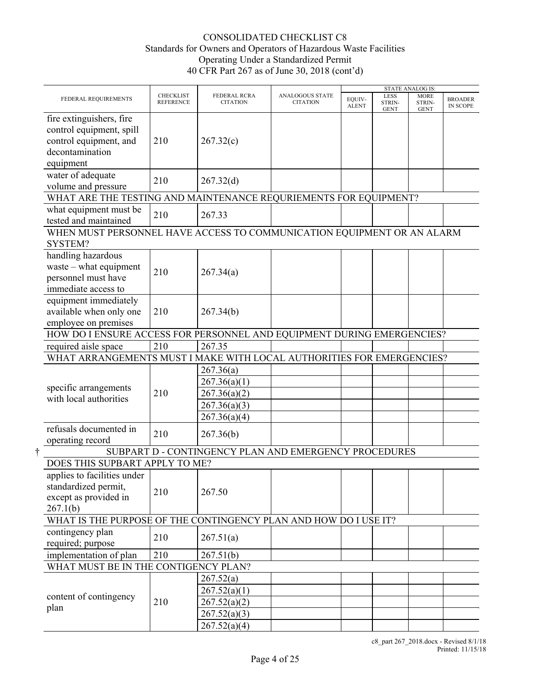|                                                                                                                |                                      |                                                       |                                    |                        |                                      | <b>STATE ANALOG IS:</b>              |                                   |
|----------------------------------------------------------------------------------------------------------------|--------------------------------------|-------------------------------------------------------|------------------------------------|------------------------|--------------------------------------|--------------------------------------|-----------------------------------|
| FEDERAL REQUIREMENTS                                                                                           | <b>CHECKLIST</b><br><b>REFERENCE</b> | FEDERAL RCRA<br><b>CITATION</b>                       | ANALOGOUS STATE<br><b>CITATION</b> | EQUIV-<br><b>ALENT</b> | <b>LESS</b><br>STRIN-<br><b>GENT</b> | <b>MORE</b><br>STRIN-<br><b>GENT</b> | <b>BROADER</b><br><b>IN SCOPE</b> |
| fire extinguishers, fire<br>control equipment, spill<br>control equipment, and<br>decontamination<br>equipment | 210                                  | 267.32(c)                                             |                                    |                        |                                      |                                      |                                   |
| water of adequate<br>volume and pressure                                                                       | 210                                  | 267.32(d)                                             |                                    |                        |                                      |                                      |                                   |
| WHAT ARE THE TESTING AND MAINTENANCE REQURIEMENTS FOR EQUIPMENT?                                               |                                      |                                                       |                                    |                        |                                      |                                      |                                   |
| what equipment must be<br>tested and maintained                                                                | 210                                  | 267.33                                                |                                    |                        |                                      |                                      |                                   |
| WHEN MUST PERSONNEL HAVE ACCESS TO COMMUNICATION EQUIPMENT OR AN ALARM<br>SYSTEM?                              |                                      |                                                       |                                    |                        |                                      |                                      |                                   |
| handling hazardous<br>waste $-$ what equipment<br>personnel must have<br>immediate access to                   | 210                                  | 267.34(a)                                             |                                    |                        |                                      |                                      |                                   |
| equipment immediately<br>available when only one<br>employee on premises                                       | 210                                  | 267.34(b)                                             |                                    |                        |                                      |                                      |                                   |
| HOW DO I ENSURE ACCESS FOR PERSONNEL AND EQUIPMENT DURING EMERGENCIES?                                         |                                      |                                                       |                                    |                        |                                      |                                      |                                   |
| required aisle space                                                                                           | 210                                  | 267.35                                                |                                    |                        |                                      |                                      |                                   |
| WHAT ARRANGEMENTS MUST I MAKE WITH LOCAL AUTHORITIES FOR EMERGENCIES?                                          |                                      |                                                       |                                    |                        |                                      |                                      |                                   |
|                                                                                                                |                                      | 267.36(a)                                             |                                    |                        |                                      |                                      |                                   |
|                                                                                                                |                                      | 267.36(a)(1)                                          |                                    |                        |                                      |                                      |                                   |
| specific arrangements                                                                                          | 210                                  | 267.36(a)(2)                                          |                                    |                        |                                      |                                      |                                   |
| with local authorities                                                                                         |                                      | 267.36(a)(3)                                          |                                    |                        |                                      |                                      |                                   |
|                                                                                                                |                                      | 267.36(a)(4)                                          |                                    |                        |                                      |                                      |                                   |
| refusals documented in<br>operating record                                                                     | 210                                  | 267.36(b)                                             |                                    |                        |                                      |                                      |                                   |
|                                                                                                                |                                      | SUBPART D - CONTINGENCY PLAN AND EMERGENCY PROCEDURES |                                    |                        |                                      |                                      |                                   |
| DOES THIS SUPBART APPLY TO ME?                                                                                 |                                      |                                                       |                                    |                        |                                      |                                      |                                   |
| applies to facilities under<br>standardized permit,<br>except as provided in<br>267.1(b)                       | 210                                  | 267.50                                                |                                    |                        |                                      |                                      |                                   |
| WHAT IS THE PURPOSE OF THE CONTINGENCY PLAN AND HOW DO I USE IT?                                               |                                      |                                                       |                                    |                        |                                      |                                      |                                   |
| contingency plan<br>required; purpose                                                                          | 210                                  | 267.51(a)                                             |                                    |                        |                                      |                                      |                                   |
| implementation of plan                                                                                         | 210                                  | 267.51(b)                                             |                                    |                        |                                      |                                      |                                   |
| WHAT MUST BE IN THE CONTIGENCY PLAN?                                                                           |                                      |                                                       |                                    |                        |                                      |                                      |                                   |
|                                                                                                                |                                      | 267.52(a)                                             |                                    |                        |                                      |                                      |                                   |
|                                                                                                                |                                      | 267.52(a)(1)                                          |                                    |                        |                                      |                                      |                                   |
| content of contingency                                                                                         | 210                                  | 267.52(a)(2)                                          |                                    |                        |                                      |                                      |                                   |
| plan                                                                                                           |                                      | 267.52(a)(3)                                          |                                    |                        |                                      |                                      |                                   |
|                                                                                                                |                                      | 267.52(a)(4)                                          |                                    |                        |                                      |                                      |                                   |
|                                                                                                                |                                      |                                                       |                                    |                        |                                      |                                      |                                   |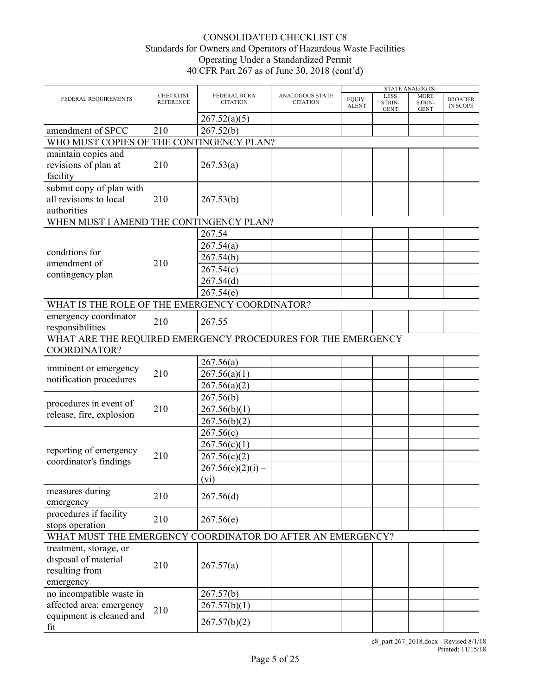|                                                                               |                                      |                                        |                                           |                        |                               | <b>STATE ANALOG IS:</b>              |                                   |
|-------------------------------------------------------------------------------|--------------------------------------|----------------------------------------|-------------------------------------------|------------------------|-------------------------------|--------------------------------------|-----------------------------------|
| FEDERAL REQUIREMENTS                                                          | <b>CHECKLIST</b><br><b>REFERENCE</b> | <b>FEDERAL RCRA</b><br><b>CITATION</b> | <b>ANALOGOUS STATE</b><br><b>CITATION</b> | EQUIV-<br><b>ALENT</b> | LESS<br>STRIN-<br><b>GENT</b> | <b>MORE</b><br>STRIN-<br><b>GENT</b> | <b>BROADER</b><br><b>IN SCOPE</b> |
|                                                                               |                                      | 267.52(a)(5)                           |                                           |                        |                               |                                      |                                   |
| amendment of SPCC                                                             | 210                                  | 267.52(b)                              |                                           |                        |                               |                                      |                                   |
| WHO MUST COPIES OF THE CONTINGENCY PLAN?                                      |                                      |                                        |                                           |                        |                               |                                      |                                   |
| maintain copies and<br>revisions of plan at<br>facility                       | 210                                  | 267.53(a)                              |                                           |                        |                               |                                      |                                   |
| submit copy of plan with<br>all revisions to local<br>authorities             | 210                                  | 267.53(b)                              |                                           |                        |                               |                                      |                                   |
| WHEN MUST I AMEND THE CONTINGENCY PLAN?                                       |                                      |                                        |                                           |                        |                               |                                      |                                   |
|                                                                               |                                      | 267.54                                 |                                           |                        |                               |                                      |                                   |
|                                                                               |                                      | 267.54(a)                              |                                           |                        |                               |                                      |                                   |
| conditions for                                                                |                                      | 267.54(b)                              |                                           |                        |                               |                                      |                                   |
| amendment of                                                                  | 210                                  | 267.54(c)                              |                                           |                        |                               |                                      |                                   |
| contingency plan                                                              |                                      | 267.54(d)                              |                                           |                        |                               |                                      |                                   |
|                                                                               |                                      | 267.54(e)                              |                                           |                        |                               |                                      |                                   |
| WHAT IS THE ROLE OF THE EMERGENCY COORDINATOR?                                |                                      |                                        |                                           |                        |                               |                                      |                                   |
|                                                                               |                                      |                                        |                                           |                        |                               |                                      |                                   |
| emergency coordinator<br>responsibilities                                     | 210                                  | 267.55                                 |                                           |                        |                               |                                      |                                   |
| WHAT ARE THE REQUIRED EMERGENCY PROCEDURES FOR THE EMERGENCY                  |                                      |                                        |                                           |                        |                               |                                      |                                   |
| COORDINATOR?                                                                  |                                      |                                        |                                           |                        |                               |                                      |                                   |
|                                                                               |                                      | 267.56(a)                              |                                           |                        |                               |                                      |                                   |
| imminent or emergency                                                         | 210                                  | 267.56(a)(1)                           |                                           |                        |                               |                                      |                                   |
| notification procedures                                                       |                                      | 267.56(a)(2)                           |                                           |                        |                               |                                      |                                   |
|                                                                               |                                      | 267.56(b)                              |                                           |                        |                               |                                      |                                   |
| procedures in event of                                                        | 210                                  | 267.56(b)(1)                           |                                           |                        |                               |                                      |                                   |
| release, fire, explosion                                                      |                                      | 267.56(b)(2)                           |                                           |                        |                               |                                      |                                   |
|                                                                               |                                      | 267.56(c)                              |                                           |                        |                               |                                      |                                   |
|                                                                               |                                      | 267.56(c)(1)                           |                                           |                        |                               |                                      |                                   |
| reporting of emergency                                                        | 210                                  | 267.56(c)(2)                           |                                           |                        |                               |                                      |                                   |
| coordinator's findings                                                        |                                      |                                        |                                           |                        |                               |                                      |                                   |
|                                                                               |                                      | $267.56(c)(2)(i) -$                    |                                           |                        |                               |                                      |                                   |
|                                                                               |                                      | (v <sub>i</sub> )                      |                                           |                        |                               |                                      |                                   |
| measures during                                                               | 210                                  | 267.56(d)                              |                                           |                        |                               |                                      |                                   |
| emergency                                                                     |                                      |                                        |                                           |                        |                               |                                      |                                   |
| procedures if facility                                                        | 210                                  | 267.56(e)                              |                                           |                        |                               |                                      |                                   |
| stops operation                                                               |                                      |                                        |                                           |                        |                               |                                      |                                   |
| WHAT MUST THE EMERGENCY COORDINATOR DO AFTER AN EMERGENCY?                    |                                      |                                        |                                           |                        |                               |                                      |                                   |
| treatment, storage, or<br>disposal of material<br>resulting from<br>emergency | 210                                  | 267.57(a)                              |                                           |                        |                               |                                      |                                   |
| no incompatible waste in                                                      |                                      | 267.57(b)                              |                                           |                        |                               |                                      |                                   |
| affected area; emergency                                                      |                                      | 267.57(b)(1)                           |                                           |                        |                               |                                      |                                   |
| equipment is cleaned and                                                      | 210                                  |                                        |                                           |                        |                               |                                      |                                   |
| fit                                                                           |                                      | 267.57(b)(2)                           |                                           |                        |                               |                                      |                                   |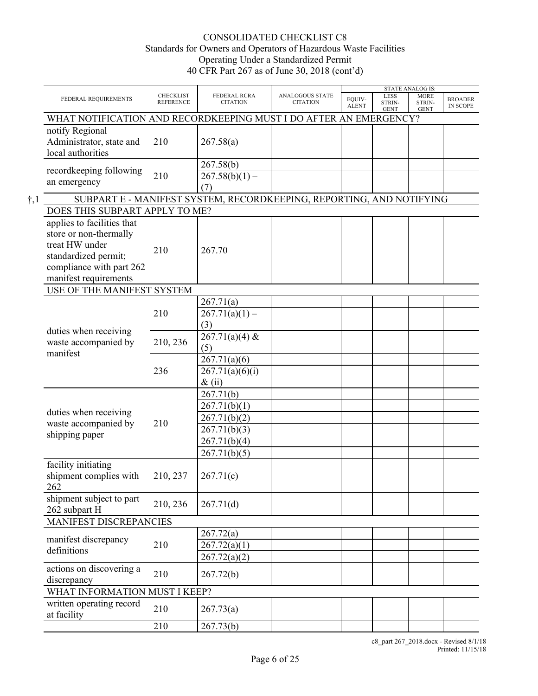|               | FEDERAL REQUIREMENTS                                                                                                                                | <b>CHECKLIST</b><br><b>REFERENCE</b> | <b>FEDERAL RCRA</b><br><b>CITATION</b> | <b>ANALOGOUS STATE</b><br><b>CITATION</b> | EOUIV-<br><b>ALENT</b> | LESS<br>STRIN-<br><b>GENT</b> | <b>STATE ANALOG IS:</b><br><b>MORE</b><br>STRIN-<br><b>GENT</b> | <b>BROADER</b><br><b>IN SCOPE</b> |
|---------------|-----------------------------------------------------------------------------------------------------------------------------------------------------|--------------------------------------|----------------------------------------|-------------------------------------------|------------------------|-------------------------------|-----------------------------------------------------------------|-----------------------------------|
|               | WHAT NOTIFICATION AND RECORDKEEPING MUST I DO AFTER AN EMERGENCY?                                                                                   |                                      |                                        |                                           |                        |                               |                                                                 |                                   |
|               | notify Regional<br>Administrator, state and<br>local authorities                                                                                    | 210                                  | 267.58(a)                              |                                           |                        |                               |                                                                 |                                   |
|               | recordkeeping following                                                                                                                             |                                      | 267.58(b)                              |                                           |                        |                               |                                                                 |                                   |
|               | an emergency                                                                                                                                        | 210                                  | $267.58(b)(1) -$<br>(7)                |                                           |                        |                               |                                                                 |                                   |
| $\dagger$ , 1 | SUBPART E - MANIFEST SYSTEM, RECORDKEEPING, REPORTING, AND NOTIFYING                                                                                |                                      |                                        |                                           |                        |                               |                                                                 |                                   |
|               | DOES THIS SUBPART APPLY TO ME?                                                                                                                      |                                      |                                        |                                           |                        |                               |                                                                 |                                   |
|               | applies to facilities that<br>store or non-thermally<br>treat HW under<br>standardized permit;<br>compliance with part 262<br>manifest requirements | 210                                  | 267.70                                 |                                           |                        |                               |                                                                 |                                   |
|               | USE OF THE MANIFEST SYSTEM                                                                                                                          |                                      |                                        |                                           |                        |                               |                                                                 |                                   |
|               | duties when receiving<br>waste accompanied by<br>manifest                                                                                           |                                      | 267.71(a)                              |                                           |                        |                               |                                                                 |                                   |
|               |                                                                                                                                                     | 210                                  | $267.71(a)(1) -$                       |                                           |                        |                               |                                                                 |                                   |
|               |                                                                                                                                                     |                                      | (3)                                    |                                           |                        |                               |                                                                 |                                   |
|               |                                                                                                                                                     |                                      | $267.71(a)(4)$ &                       |                                           |                        |                               |                                                                 |                                   |
|               |                                                                                                                                                     | 210, 236                             | (5)                                    |                                           |                        |                               |                                                                 |                                   |
|               |                                                                                                                                                     |                                      | 267.71(a)(6)                           |                                           |                        |                               |                                                                 |                                   |
|               |                                                                                                                                                     | 236                                  | 267.71(a)(6)(i)                        |                                           |                        |                               |                                                                 |                                   |
|               |                                                                                                                                                     |                                      | $\&$ (ii)                              |                                           |                        |                               |                                                                 |                                   |
|               |                                                                                                                                                     |                                      | 267.71(b)                              |                                           |                        |                               |                                                                 |                                   |
|               |                                                                                                                                                     |                                      | 267.71(b)(1)                           |                                           |                        |                               |                                                                 |                                   |
|               | duties when receiving                                                                                                                               |                                      | 267.71(b)(2)                           |                                           |                        |                               |                                                                 |                                   |
|               | waste accompanied by                                                                                                                                | 210                                  | 267.71(b)(3)                           |                                           |                        |                               |                                                                 |                                   |
|               | shipping paper                                                                                                                                      |                                      | 267.71(b)(4)                           |                                           |                        |                               |                                                                 |                                   |
|               |                                                                                                                                                     |                                      | 267.71(b)(5)                           |                                           |                        |                               |                                                                 |                                   |
|               | facility initiating                                                                                                                                 |                                      |                                        |                                           |                        |                               |                                                                 |                                   |
|               | shipment complies with<br>262                                                                                                                       | 210, 237                             | 267.71(c)                              |                                           |                        |                               |                                                                 |                                   |
|               | shipment subject to part<br>262 subpart H                                                                                                           | 210, 236                             | 267.71(d)                              |                                           |                        |                               |                                                                 |                                   |
|               | MANIFEST DISCREPANCIES                                                                                                                              |                                      |                                        |                                           |                        |                               |                                                                 |                                   |
|               |                                                                                                                                                     |                                      | 267.72(a)                              |                                           |                        |                               |                                                                 |                                   |
|               | manifest discrepancy                                                                                                                                | 210                                  | 267.72(a)(1)                           |                                           |                        |                               |                                                                 |                                   |
|               | definitions                                                                                                                                         |                                      | 267.72(a)(2)                           |                                           |                        |                               |                                                                 |                                   |
|               | actions on discovering a<br>discrepancy                                                                                                             | 210                                  | 267.72(b)                              |                                           |                        |                               |                                                                 |                                   |
|               | WHAT INFORMATION MUST I KEEP?                                                                                                                       |                                      |                                        |                                           |                        |                               |                                                                 |                                   |
|               | written operating record<br>at facility                                                                                                             | 210                                  | 267.73(a)                              |                                           |                        |                               |                                                                 |                                   |
|               |                                                                                                                                                     | 210                                  | 267.73(b)                              |                                           |                        |                               |                                                                 |                                   |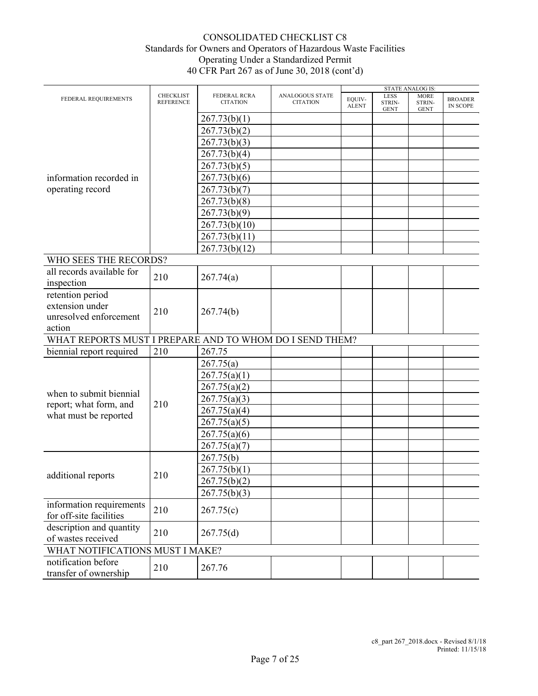|                                                         |                                      |                                 |                                    |                        |                                      | <b>STATE ANALOG IS:</b>              |                                   |
|---------------------------------------------------------|--------------------------------------|---------------------------------|------------------------------------|------------------------|--------------------------------------|--------------------------------------|-----------------------------------|
| FEDERAL REQUIREMENTS                                    | <b>CHECKLIST</b><br><b>REFERENCE</b> | FEDERAL RCRA<br><b>CITATION</b> | ANALOGOUS STATE<br><b>CITATION</b> | EQUIV-<br><b>ALENT</b> | <b>LESS</b><br>STRIN-<br><b>GENT</b> | <b>MORE</b><br>STRIN-<br><b>GENT</b> | <b>BROADER</b><br><b>IN SCOPE</b> |
|                                                         |                                      | 267.73(b)(1)                    |                                    |                        |                                      |                                      |                                   |
|                                                         |                                      | 267.73(b)(2)                    |                                    |                        |                                      |                                      |                                   |
|                                                         |                                      | 267.73(b)(3)                    |                                    |                        |                                      |                                      |                                   |
|                                                         |                                      | 267.73(b)(4)                    |                                    |                        |                                      |                                      |                                   |
|                                                         |                                      | 267.73(b)(5)                    |                                    |                        |                                      |                                      |                                   |
| information recorded in                                 |                                      | 267.73(b)(6)                    |                                    |                        |                                      |                                      |                                   |
| operating record                                        |                                      | 267.73(b)(7)                    |                                    |                        |                                      |                                      |                                   |
|                                                         |                                      | 267.73(b)(8)                    |                                    |                        |                                      |                                      |                                   |
|                                                         |                                      | 267.73(b)(9)                    |                                    |                        |                                      |                                      |                                   |
|                                                         |                                      | 267.73(b)(10)                   |                                    |                        |                                      |                                      |                                   |
|                                                         |                                      | 267.73(b)(11)                   |                                    |                        |                                      |                                      |                                   |
|                                                         |                                      | 267.73(b)(12)                   |                                    |                        |                                      |                                      |                                   |
| WHO SEES THE RECORDS?                                   |                                      |                                 |                                    |                        |                                      |                                      |                                   |
| all records available for                               |                                      |                                 |                                    |                        |                                      |                                      |                                   |
| inspection                                              | 210                                  | 267.74(a)                       |                                    |                        |                                      |                                      |                                   |
| retention period                                        |                                      |                                 |                                    |                        |                                      |                                      |                                   |
| extension under                                         |                                      |                                 |                                    |                        |                                      |                                      |                                   |
| unresolved enforcement                                  | 210                                  | 267.74(b)                       |                                    |                        |                                      |                                      |                                   |
| action                                                  |                                      |                                 |                                    |                        |                                      |                                      |                                   |
| WHAT REPORTS MUST I PREPARE AND TO WHOM DO I SEND THEM? |                                      |                                 |                                    |                        |                                      |                                      |                                   |
| biennial report required                                | 210                                  | 267.75                          |                                    |                        |                                      |                                      |                                   |
|                                                         |                                      | 267.75(a)                       |                                    |                        |                                      |                                      |                                   |
|                                                         |                                      | 267.75(a)(1)                    |                                    |                        |                                      |                                      |                                   |
|                                                         |                                      | 267.75(a)(2)                    |                                    |                        |                                      |                                      |                                   |
| when to submit biennial                                 |                                      | 267.75(a)(3)                    |                                    |                        |                                      |                                      |                                   |
| report; what form, and                                  | 210                                  | 267.75(a)(4)                    |                                    |                        |                                      |                                      |                                   |
| what must be reported                                   |                                      | 267.75(a)(5)                    |                                    |                        |                                      |                                      |                                   |
|                                                         |                                      | 267.75(a)(6)                    |                                    |                        |                                      |                                      |                                   |
|                                                         |                                      | 267.75(a)(7)                    |                                    |                        |                                      |                                      |                                   |
|                                                         |                                      | 267.75(b)                       |                                    |                        |                                      |                                      |                                   |
|                                                         |                                      | 267.75(b)(1)                    |                                    |                        |                                      |                                      |                                   |
| additional reports                                      | 210                                  | 267.75(b)(2)                    |                                    |                        |                                      |                                      |                                   |
|                                                         |                                      | 267.75(b)(3)                    |                                    |                        |                                      |                                      |                                   |
| information requirements                                |                                      |                                 |                                    |                        |                                      |                                      |                                   |
| for off-site facilities                                 | 210                                  | 267.75(c)                       |                                    |                        |                                      |                                      |                                   |
| description and quantity                                |                                      |                                 |                                    |                        |                                      |                                      |                                   |
| of wastes received                                      | 210                                  | 267.75(d)                       |                                    |                        |                                      |                                      |                                   |
| WHAT NOTIFICATIONS MUST I MAKE?                         |                                      |                                 |                                    |                        |                                      |                                      |                                   |
| notification before                                     | 210                                  | 267.76                          |                                    |                        |                                      |                                      |                                   |
| transfer of ownership                                   |                                      |                                 |                                    |                        |                                      |                                      |                                   |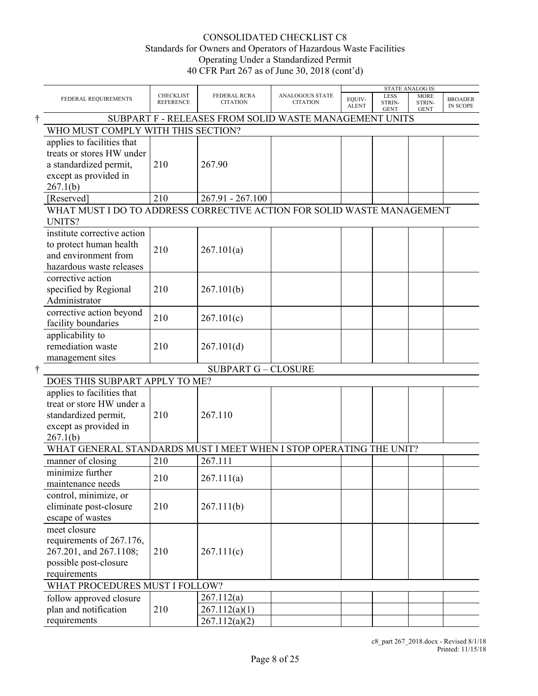|                                                                                                                        |                                      |                                                        |                                           |                        | <b>STATE ANALOG IS:</b>              |                                      |                                   |
|------------------------------------------------------------------------------------------------------------------------|--------------------------------------|--------------------------------------------------------|-------------------------------------------|------------------------|--------------------------------------|--------------------------------------|-----------------------------------|
| FEDERAL REQUIREMENTS                                                                                                   | <b>CHECKLIST</b><br><b>REFERENCE</b> | FEDERAL RCRA<br><b>CITATION</b>                        | <b>ANALOGOUS STATE</b><br><b>CITATION</b> | EQUIV-<br><b>ALENT</b> | <b>LESS</b><br>STRIN-<br><b>GENT</b> | <b>MORE</b><br>STRIN-<br><b>GENT</b> | <b>BROADER</b><br><b>IN SCOPE</b> |
|                                                                                                                        |                                      | SUBPART F - RELEASES FROM SOLID WASTE MANAGEMENT UNITS |                                           |                        |                                      |                                      |                                   |
| WHO MUST COMPLY WITH THIS SECTION?                                                                                     |                                      |                                                        |                                           |                        |                                      |                                      |                                   |
| applies to facilities that<br>treats or stores HW under<br>a standardized permit,<br>except as provided in<br>267.1(b) | 210                                  | 267.90                                                 |                                           |                        |                                      |                                      |                                   |
| [Reserved]                                                                                                             | 210                                  | 267.91 - 267.100                                       |                                           |                        |                                      |                                      |                                   |
| WHAT MUST I DO TO ADDRESS CORRECTIVE ACTION FOR SOLID WASTE MANAGEMENT<br>UNITS?                                       |                                      |                                                        |                                           |                        |                                      |                                      |                                   |
| institute corrective action<br>to protect human health<br>and environment from<br>hazardous waste releases             | 210                                  | 267.101(a)                                             |                                           |                        |                                      |                                      |                                   |
| corrective action<br>specified by Regional<br>Administrator                                                            | 210                                  | 267.101(b)                                             |                                           |                        |                                      |                                      |                                   |
| corrective action beyond<br>facility boundaries                                                                        | 210                                  | 267.101(c)                                             |                                           |                        |                                      |                                      |                                   |
| applicability to<br>remediation waste<br>management sites                                                              | 210                                  | 267.101(d)                                             |                                           |                        |                                      |                                      |                                   |
|                                                                                                                        |                                      | <b>SUBPART G - CLOSURE</b>                             |                                           |                        |                                      |                                      |                                   |
| DOES THIS SUBPART APPLY TO ME?                                                                                         |                                      |                                                        |                                           |                        |                                      |                                      |                                   |
| applies to facilities that<br>treat or store HW under a<br>standardized permit,<br>except as provided in<br>267.1(b)   | 210                                  | 267.110                                                |                                           |                        |                                      |                                      |                                   |
| WHAT GENERAL STANDARDS MUST I MEET WHEN I STOP OPERATING THE UNIT?                                                     |                                      |                                                        |                                           |                        |                                      |                                      |                                   |
| manner of closing                                                                                                      | 210                                  | 267.111                                                |                                           |                        |                                      |                                      |                                   |
| minimize further<br>maintenance needs                                                                                  | 210                                  | 267.111(a)                                             |                                           |                        |                                      |                                      |                                   |
| control, minimize, or<br>eliminate post-closure<br>escape of wastes                                                    | 210                                  | 267.111(b)                                             |                                           |                        |                                      |                                      |                                   |
| meet closure<br>requirements of 267.176,<br>267.201, and 267.1108;<br>possible post-closure<br>requirements            | 210                                  | 267.111(c)                                             |                                           |                        |                                      |                                      |                                   |
| WHAT PROCEDURES MUST I FOLLOW?                                                                                         |                                      |                                                        |                                           |                        |                                      |                                      |                                   |
| follow approved closure                                                                                                |                                      | 267.112(a)                                             |                                           |                        |                                      |                                      |                                   |
| plan and notification                                                                                                  | 210                                  | 267.112(a)(1)                                          |                                           |                        |                                      |                                      |                                   |
| requirements                                                                                                           |                                      | 267.112(a)(2)                                          |                                           |                        |                                      |                                      |                                   |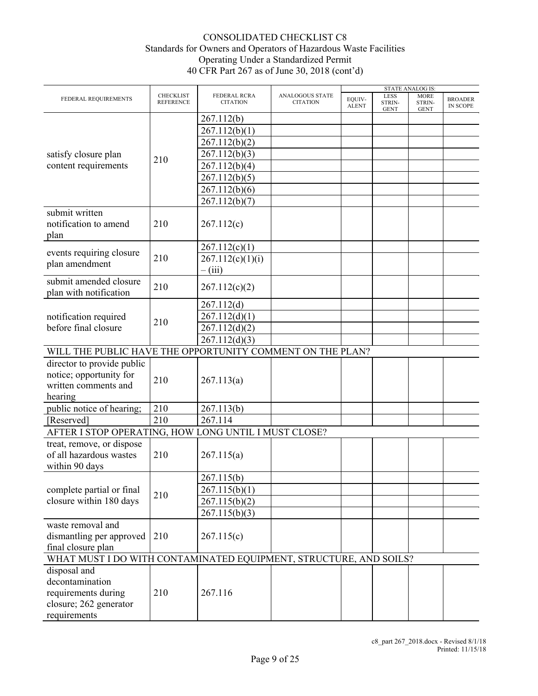|                                                                        |                                      |                                 |                                    |                        |                                      | <b>STATE ANALOG IS:</b>              |                                   |
|------------------------------------------------------------------------|--------------------------------------|---------------------------------|------------------------------------|------------------------|--------------------------------------|--------------------------------------|-----------------------------------|
| FEDERAL REQUIREMENTS                                                   | <b>CHECKLIST</b><br><b>REFERENCE</b> | FEDERAL RCRA<br><b>CITATION</b> | ANALOGOUS STATE<br><b>CITATION</b> | EQUIV-<br><b>ALENT</b> | <b>LESS</b><br>STRIN-<br><b>GENT</b> | <b>MORE</b><br>STRIN-<br><b>GENT</b> | <b>BROADER</b><br><b>IN SCOPE</b> |
|                                                                        |                                      | 267.112(b)                      |                                    |                        |                                      |                                      |                                   |
|                                                                        |                                      | 267.112(b)(1)                   |                                    |                        |                                      |                                      |                                   |
|                                                                        |                                      | 267.112(b)(2)                   |                                    |                        |                                      |                                      |                                   |
|                                                                        |                                      |                                 |                                    |                        |                                      |                                      |                                   |
| satisfy closure plan                                                   | 210                                  | 267.112(b)(3)                   |                                    |                        |                                      |                                      |                                   |
| content requirements                                                   |                                      | 267.112(b)(4)                   |                                    |                        |                                      |                                      |                                   |
|                                                                        |                                      | 267.112(b)(5)                   |                                    |                        |                                      |                                      |                                   |
|                                                                        |                                      | 267.112(b)(6)                   |                                    |                        |                                      |                                      |                                   |
|                                                                        |                                      | 267.112(b)(7)                   |                                    |                        |                                      |                                      |                                   |
| submit written<br>notification to amend                                | 210                                  | 267.112(c)                      |                                    |                        |                                      |                                      |                                   |
| plan                                                                   |                                      |                                 |                                    |                        |                                      |                                      |                                   |
|                                                                        |                                      | 267.112(c)(1)                   |                                    |                        |                                      |                                      |                                   |
| events requiring closure                                               | 210                                  | 267.112(c)(1)(i)                |                                    |                        |                                      |                                      |                                   |
| plan amendment                                                         |                                      | $-$ (iii)                       |                                    |                        |                                      |                                      |                                   |
| submit amended closure                                                 |                                      |                                 |                                    |                        |                                      |                                      |                                   |
| plan with notification                                                 | 210                                  | 267.112(c)(2)                   |                                    |                        |                                      |                                      |                                   |
|                                                                        |                                      | 267.112(d)                      |                                    |                        |                                      |                                      |                                   |
| notification required                                                  |                                      | 267.112(d)(1)                   |                                    |                        |                                      |                                      |                                   |
| before final closure                                                   | 210                                  | 267.112(d)(2)                   |                                    |                        |                                      |                                      |                                   |
|                                                                        |                                      | 267.112(d)(3)                   |                                    |                        |                                      |                                      |                                   |
| WILL THE PUBLIC HAVE THE OPPORTUNITY COMMENT ON THE PLAN?              |                                      |                                 |                                    |                        |                                      |                                      |                                   |
| director to provide public                                             |                                      |                                 |                                    |                        |                                      |                                      |                                   |
|                                                                        |                                      |                                 |                                    |                        |                                      |                                      |                                   |
| notice; opportunity for                                                | 210                                  | 267.113(a)                      |                                    |                        |                                      |                                      |                                   |
| written comments and                                                   |                                      |                                 |                                    |                        |                                      |                                      |                                   |
| hearing                                                                |                                      |                                 |                                    |                        |                                      |                                      |                                   |
| public notice of hearing;                                              | 210                                  | 267.113(b)                      |                                    |                        |                                      |                                      |                                   |
| [Reserved]                                                             | 210                                  | 267.114                         |                                    |                        |                                      |                                      |                                   |
| AFTER I STOP OPERATING, HOW LONG UNTIL I MUST CLOSE?                   |                                      |                                 |                                    |                        |                                      |                                      |                                   |
| treat, remove, or dispose<br>of all hazardous wastes<br>within 90 days | 210                                  | 267.115(a)                      |                                    |                        |                                      |                                      |                                   |
|                                                                        |                                      | 267.115(b)                      |                                    |                        |                                      |                                      |                                   |
|                                                                        |                                      |                                 |                                    |                        |                                      |                                      |                                   |
| complete partial or final                                              | 210                                  | 267.115(b)(1)                   |                                    |                        |                                      |                                      |                                   |
| closure within 180 days                                                |                                      | 267.115(b)(2)                   |                                    |                        |                                      |                                      |                                   |
|                                                                        |                                      | 267.115(b)(3)                   |                                    |                        |                                      |                                      |                                   |
| waste removal and                                                      |                                      |                                 |                                    |                        |                                      |                                      |                                   |
| dismantling per approved                                               | 210                                  | 267.115(c)                      |                                    |                        |                                      |                                      |                                   |
| final closure plan                                                     |                                      |                                 |                                    |                        |                                      |                                      |                                   |
| WHAT MUST I DO WITH CONTAMINATED EQUIPMENT, STRUCTURE, AND SOILS?      |                                      |                                 |                                    |                        |                                      |                                      |                                   |
| disposal and                                                           |                                      |                                 |                                    |                        |                                      |                                      |                                   |
| decontamination                                                        |                                      |                                 |                                    |                        |                                      |                                      |                                   |
| requirements during                                                    | 210                                  | 267.116                         |                                    |                        |                                      |                                      |                                   |
| closure; 262 generator                                                 |                                      |                                 |                                    |                        |                                      |                                      |                                   |
| requirements                                                           |                                      |                                 |                                    |                        |                                      |                                      |                                   |
|                                                                        |                                      |                                 |                                    |                        |                                      |                                      |                                   |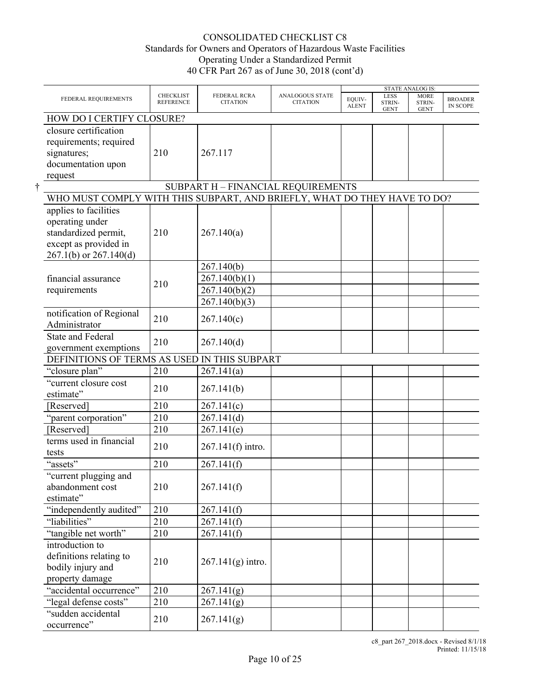|                                                                          |                                      |                                        |                                    |                        |                                      | <b>STATE ANALOG IS:</b>              |                                   |
|--------------------------------------------------------------------------|--------------------------------------|----------------------------------------|------------------------------------|------------------------|--------------------------------------|--------------------------------------|-----------------------------------|
| FEDERAL REQUIREMENTS                                                     | <b>CHECKLIST</b><br><b>REFERENCE</b> | <b>FEDERAL RCRA</b><br><b>CITATION</b> | ANALOGOUS STATE<br><b>CITATION</b> | EQUIV-<br><b>ALENT</b> | <b>LESS</b><br>STRIN-<br><b>GENT</b> | <b>MORE</b><br>STRIN-<br><b>GENT</b> | <b>BROADER</b><br><b>IN SCOPE</b> |
| HOW DO I CERTIFY CLOSURE?                                                |                                      |                                        |                                    |                        |                                      |                                      |                                   |
| closure certification                                                    |                                      |                                        |                                    |                        |                                      |                                      |                                   |
| requirements; required                                                   |                                      |                                        |                                    |                        |                                      |                                      |                                   |
| signatures;                                                              | 210                                  | 267.117                                |                                    |                        |                                      |                                      |                                   |
| documentation upon                                                       |                                      |                                        |                                    |                        |                                      |                                      |                                   |
| request                                                                  |                                      |                                        |                                    |                        |                                      |                                      |                                   |
|                                                                          |                                      | SUBPART H - FINANCIAL REQUIREMENTS     |                                    |                        |                                      |                                      |                                   |
| WHO MUST COMPLY WITH THIS SUBPART, AND BRIEFLY, WHAT DO THEY HAVE TO DO? |                                      |                                        |                                    |                        |                                      |                                      |                                   |
| applies to facilities                                                    |                                      |                                        |                                    |                        |                                      |                                      |                                   |
| operating under                                                          |                                      |                                        |                                    |                        |                                      |                                      |                                   |
| standardized permit,                                                     | 210                                  | 267.140(a)                             |                                    |                        |                                      |                                      |                                   |
| except as provided in                                                    |                                      |                                        |                                    |                        |                                      |                                      |                                   |
| $267.1(b)$ or $267.140(d)$                                               |                                      |                                        |                                    |                        |                                      |                                      |                                   |
|                                                                          |                                      | 267.140(b)                             |                                    |                        |                                      |                                      |                                   |
| financial assurance                                                      |                                      | 267.140(b)(1)                          |                                    |                        |                                      |                                      |                                   |
| requirements                                                             | 210                                  | 267.140(b)(2)                          |                                    |                        |                                      |                                      |                                   |
|                                                                          |                                      | 267.140(b)(3)                          |                                    |                        |                                      |                                      |                                   |
| notification of Regional                                                 |                                      |                                        |                                    |                        |                                      |                                      |                                   |
| Administrator                                                            | 210                                  | 267.140(c)                             |                                    |                        |                                      |                                      |                                   |
| <b>State and Federal</b>                                                 |                                      |                                        |                                    |                        |                                      |                                      |                                   |
| government exemptions                                                    | 210                                  | 267.140(d)                             |                                    |                        |                                      |                                      |                                   |
| DEFINITIONS OF TERMS AS USED IN THIS SUBPART                             |                                      |                                        |                                    |                        |                                      |                                      |                                   |
| "closure plan"                                                           | 210                                  | 267.141(a)                             |                                    |                        |                                      |                                      |                                   |
| "current closure cost                                                    |                                      |                                        |                                    |                        |                                      |                                      |                                   |
| estimate"                                                                | 210                                  | 267.141(b)                             |                                    |                        |                                      |                                      |                                   |
| [Reserved]                                                               | 210                                  | 267.141(c)                             |                                    |                        |                                      |                                      |                                   |
| "parent corporation"                                                     | 210                                  | 267.141(d)                             |                                    |                        |                                      |                                      |                                   |
| [Reserved]                                                               | 210                                  | 267.141(e)                             |                                    |                        |                                      |                                      |                                   |
| terms used in financial                                                  | 210                                  | 267.141(f) intro.                      |                                    |                        |                                      |                                      |                                   |
| tests                                                                    |                                      |                                        |                                    |                        |                                      |                                      |                                   |
| "assets"                                                                 | 210                                  | 267.141(f)                             |                                    |                        |                                      |                                      |                                   |
| "current plugging and                                                    |                                      |                                        |                                    |                        |                                      |                                      |                                   |
| abandonment cost                                                         | 210                                  | 267.141(f)                             |                                    |                        |                                      |                                      |                                   |
| estimate"                                                                |                                      |                                        |                                    |                        |                                      |                                      |                                   |
| "independently audited"                                                  | 210                                  | 267.141(f)                             |                                    |                        |                                      |                                      |                                   |
| "liabilities"                                                            | 210                                  | 267.141(f)                             |                                    |                        |                                      |                                      |                                   |
| "tangible net worth"                                                     | 210                                  | 267.141(f)                             |                                    |                        |                                      |                                      |                                   |
| introduction to                                                          |                                      |                                        |                                    |                        |                                      |                                      |                                   |
| definitions relating to                                                  |                                      |                                        |                                    |                        |                                      |                                      |                                   |
| bodily injury and                                                        | 210                                  | $267.141(g)$ intro.                    |                                    |                        |                                      |                                      |                                   |
| property damage                                                          |                                      |                                        |                                    |                        |                                      |                                      |                                   |
| "accidental occurrence"                                                  | 210                                  | 267.141(g)                             |                                    |                        |                                      |                                      |                                   |
| "legal defense costs"                                                    | 210                                  | 267.141(g)                             |                                    |                        |                                      |                                      |                                   |
| "sudden accidental                                                       |                                      |                                        |                                    |                        |                                      |                                      |                                   |
| occurrence"                                                              | 210                                  | 267.141(g)                             |                                    |                        |                                      |                                      |                                   |
|                                                                          |                                      |                                        |                                    |                        |                                      |                                      |                                   |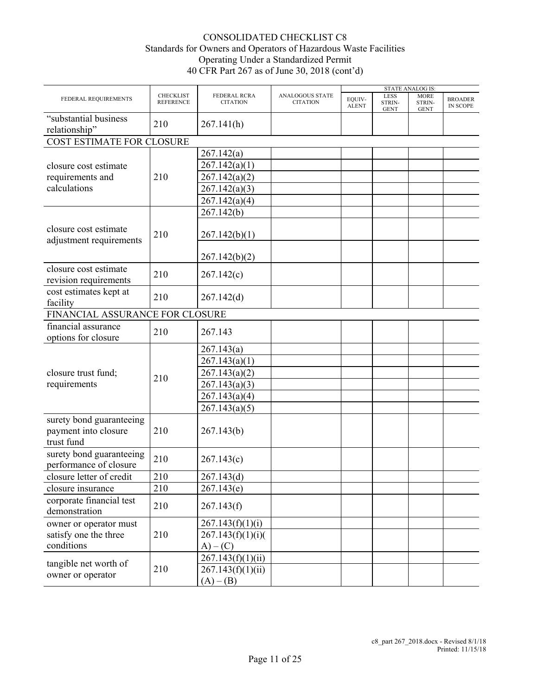|                                                                |                                      |                                        |                                           |                        |                                      | <b>STATE ANALOG IS:</b>              |                            |
|----------------------------------------------------------------|--------------------------------------|----------------------------------------|-------------------------------------------|------------------------|--------------------------------------|--------------------------------------|----------------------------|
| FEDERAL REQUIREMENTS                                           | <b>CHECKLIST</b><br><b>REFERENCE</b> | <b>FEDERAL RCRA</b><br><b>CITATION</b> | <b>ANALOGOUS STATE</b><br><b>CITATION</b> | EQUIV-<br><b>ALENT</b> | <b>LESS</b><br>STRIN-<br><b>GENT</b> | <b>MORE</b><br>STRIN-<br><b>GENT</b> | <b>BROADER</b><br>IN SCOPE |
| "substantial business<br>relationship"                         | 210                                  | 267.141(h)                             |                                           |                        |                                      |                                      |                            |
| COST ESTIMATE FOR CLOSURE                                      |                                      |                                        |                                           |                        |                                      |                                      |                            |
|                                                                |                                      | 267.142(a)                             |                                           |                        |                                      |                                      |                            |
| closure cost estimate                                          |                                      | 267.142(a)(1)                          |                                           |                        |                                      |                                      |                            |
| requirements and                                               | 210                                  | 267.142(a)(2)                          |                                           |                        |                                      |                                      |                            |
| calculations                                                   |                                      | 267.142(a)(3)                          |                                           |                        |                                      |                                      |                            |
|                                                                |                                      | 267.142(a)(4)                          |                                           |                        |                                      |                                      |                            |
|                                                                |                                      | 267.142(b)                             |                                           |                        |                                      |                                      |                            |
| closure cost estimate<br>adjustment requirements               | 210                                  | 267.142(b)(1)                          |                                           |                        |                                      |                                      |                            |
|                                                                |                                      | 267.142(b)(2)                          |                                           |                        |                                      |                                      |                            |
| closure cost estimate<br>revision requirements                 | 210                                  | 267.142(c)                             |                                           |                        |                                      |                                      |                            |
| cost estimates kept at<br>facility                             | 210                                  | 267.142(d)                             |                                           |                        |                                      |                                      |                            |
| FINANCIAL ASSURANCE FOR CLOSURE                                |                                      |                                        |                                           |                        |                                      |                                      |                            |
| financial assurance<br>options for closure                     | 210                                  | 267.143                                |                                           |                        |                                      |                                      |                            |
|                                                                |                                      | 267.143(a)                             |                                           |                        |                                      |                                      |                            |
|                                                                |                                      | 267.143(a)(1)                          |                                           |                        |                                      |                                      |                            |
| closure trust fund;                                            | 210                                  | 267.143(a)(2)                          |                                           |                        |                                      |                                      |                            |
| requirements                                                   |                                      | 267.143(a)(3)                          |                                           |                        |                                      |                                      |                            |
|                                                                |                                      | 267.143(a)(4)                          |                                           |                        |                                      |                                      |                            |
|                                                                |                                      | 267.143(a)(5)                          |                                           |                        |                                      |                                      |                            |
| surety bond guaranteeing<br>payment into closure<br>trust fund | 210                                  | 267.143(b)                             |                                           |                        |                                      |                                      |                            |
| surety bond guaranteeing<br>performance of closure             | 210                                  | 267.143(c)                             |                                           |                        |                                      |                                      |                            |
| closure letter of credit                                       | 210                                  | 267.143(d)                             |                                           |                        |                                      |                                      |                            |
| closure insurance                                              | 210                                  | 267.143(e)                             |                                           |                        |                                      |                                      |                            |
| corporate financial test<br>demonstration                      | 210                                  | 267.143(f)                             |                                           |                        |                                      |                                      |                            |
| owner or operator must                                         |                                      | 267.143(f)(1)(i)                       |                                           |                        |                                      |                                      |                            |
| satisfy one the three                                          | 210                                  | 267.143(f)(1)(i)                       |                                           |                        |                                      |                                      |                            |
| conditions                                                     |                                      | $A) - (C)$                             |                                           |                        |                                      |                                      |                            |
| tangible net worth of                                          |                                      | 267.143(f)(1)(ii)                      |                                           |                        |                                      |                                      |                            |
| owner or operator                                              | 210                                  | 267.143(f)(1)(ii)                      |                                           |                        |                                      |                                      |                            |
|                                                                |                                      | $(A) - (B)$                            |                                           |                        |                                      |                                      |                            |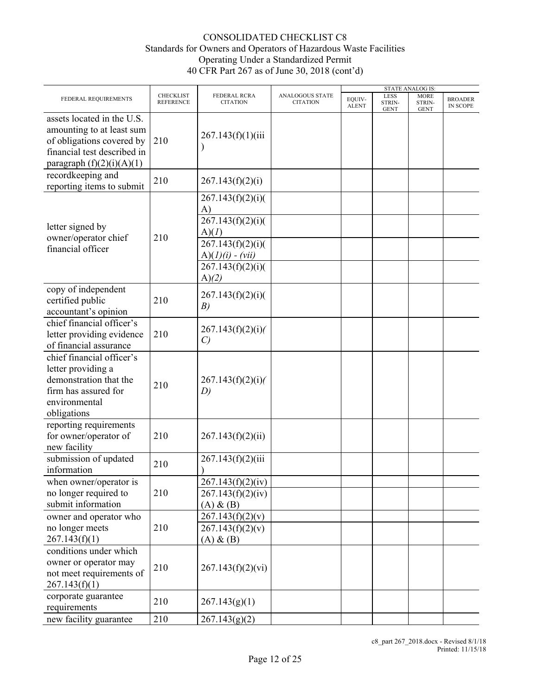|                                                                                                                                                    |                                      |                                                         |                                           |                        |                               | <b>STATE ANALOG IS:</b>              |                                   |  |
|----------------------------------------------------------------------------------------------------------------------------------------------------|--------------------------------------|---------------------------------------------------------|-------------------------------------------|------------------------|-------------------------------|--------------------------------------|-----------------------------------|--|
| FEDERAL REQUIREMENTS                                                                                                                               | <b>CHECKLIST</b><br><b>REFERENCE</b> | FEDERAL RCRA<br><b>CITATION</b>                         | <b>ANALOGOUS STATE</b><br><b>CITATION</b> | EOUIV-<br><b>ALENT</b> | LESS<br>STRIN-<br><b>GENT</b> | <b>MORE</b><br>STRIN-<br><b>GENT</b> | <b>BROADER</b><br><b>IN SCOPE</b> |  |
| assets located in the U.S.<br>amounting to at least sum<br>of obligations covered by<br>financial test described in<br>paragraph $(f)(2)(i)(A)(1)$ | 210                                  | 267.143(f)(1)(iii)                                      |                                           |                        |                               |                                      |                                   |  |
| recordkeeping and<br>reporting items to submit                                                                                                     | 210                                  | 267.143(f)(2)(i)                                        |                                           |                        |                               |                                      |                                   |  |
| letter signed by                                                                                                                                   |                                      | 267.143(f)(2)(i)<br>$\mathbf{A}$<br>267.143(f)(2)(i)    |                                           |                        |                               |                                      |                                   |  |
| owner/operator chief<br>financial officer                                                                                                          | 210                                  | A)(I)<br>267.143(f)(2)(i)<br>$A)(1)(i) - (vii)$         |                                           |                        |                               |                                      |                                   |  |
|                                                                                                                                                    |                                      | 267.143(f)(2)(i)<br>A)(2)                               |                                           |                        |                               |                                      |                                   |  |
| copy of independent<br>certified public<br>accountant's opinion                                                                                    | 210                                  | 267.143(f)(2)(i)<br>B)                                  |                                           |                        |                               |                                      |                                   |  |
| chief financial officer's<br>letter providing evidence<br>of financial assurance                                                                   | 210                                  | 267.143(f)(2)(i)<br>$\mathcal{C}$                       |                                           |                        |                               |                                      |                                   |  |
| chief financial officer's<br>letter providing a<br>demonstration that the<br>firm has assured for<br>environmental<br>obligations                  | 210                                  | 267.143(f)(2)(i)<br>D)                                  |                                           |                        |                               |                                      |                                   |  |
| reporting requirements<br>for owner/operator of<br>new facility                                                                                    | 210                                  | 267.143(f)(2)(ii)                                       |                                           |                        |                               |                                      |                                   |  |
| submission of updated<br>information                                                                                                               | 210                                  | 267.143(f)(2)(iii)                                      |                                           |                        |                               |                                      |                                   |  |
| when owner/operator is<br>no longer required to<br>submit information                                                                              | 210                                  | 267.143(f)(2)(iv)<br>267.143(f)(2)(iv)<br>$(A)$ & $(B)$ |                                           |                        |                               |                                      |                                   |  |
| owner and operator who<br>no longer meets<br>267.143(f)(1)                                                                                         | 210                                  | 267.143(f)(2)(v)<br>267.143(f)(2)(v)<br>$(A)$ & $(B)$   |                                           |                        |                               |                                      |                                   |  |
| conditions under which<br>owner or operator may<br>not meet requirements of<br>267.143(f)(1)                                                       | 210                                  | 267.143(f)(2)(vi)                                       |                                           |                        |                               |                                      |                                   |  |
| corporate guarantee<br>requirements                                                                                                                | 210                                  | 267.143(g)(1)                                           |                                           |                        |                               |                                      |                                   |  |
| new facility guarantee                                                                                                                             | 210                                  | 267.143(g)(2)                                           |                                           |                        |                               |                                      |                                   |  |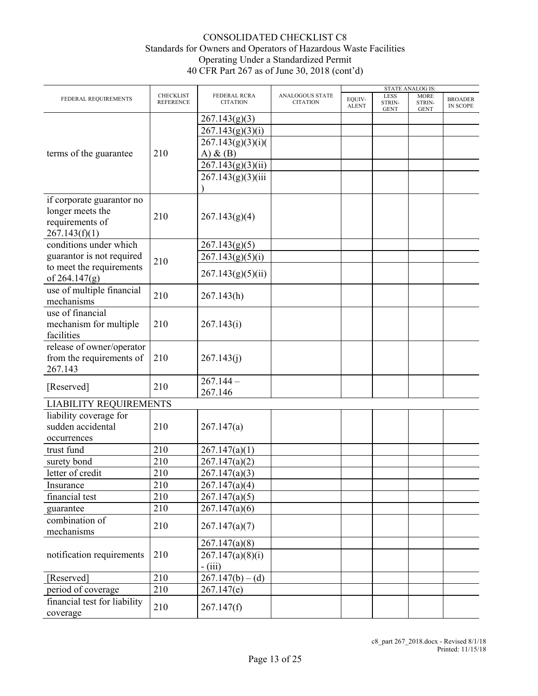|                               |                                      |                                 |                                    | <b>STATE ANALOG IS:</b> |                               |                                      |                                   |
|-------------------------------|--------------------------------------|---------------------------------|------------------------------------|-------------------------|-------------------------------|--------------------------------------|-----------------------------------|
| FEDERAL REQUIREMENTS          | <b>CHECKLIST</b><br><b>REFERENCE</b> | FEDERAL RCRA<br><b>CITATION</b> | ANALOGOUS STATE<br><b>CITATION</b> | EQUIV-<br><b>ALENT</b>  | LESS<br>STRIN-<br><b>GENT</b> | <b>MORE</b><br>STRIN-<br><b>GENT</b> | <b>BROADER</b><br><b>IN SCOPE</b> |
|                               |                                      | 267.143(g)(3)                   |                                    |                         |                               |                                      |                                   |
|                               |                                      | 267.143(g)(3)(i)                |                                    |                         |                               |                                      |                                   |
|                               |                                      | 267.143(g)(3)(i)                |                                    |                         |                               |                                      |                                   |
| terms of the guarantee        | 210                                  | A) $\&$ (B)                     |                                    |                         |                               |                                      |                                   |
|                               |                                      | 267.143(g)(3)(ii)               |                                    |                         |                               |                                      |                                   |
|                               |                                      | 267.143(g)(3)(iii)              |                                    |                         |                               |                                      |                                   |
|                               |                                      |                                 |                                    |                         |                               |                                      |                                   |
| if corporate guarantor no     |                                      |                                 |                                    |                         |                               |                                      |                                   |
| longer meets the              |                                      |                                 |                                    |                         |                               |                                      |                                   |
| requirements of               | 210                                  | 267.143(g)(4)                   |                                    |                         |                               |                                      |                                   |
| 267.143(f)(1)                 |                                      |                                 |                                    |                         |                               |                                      |                                   |
| conditions under which        |                                      | 267.143(g)(5)                   |                                    |                         |                               |                                      |                                   |
| guarantor is not required     |                                      | 267.143(g)(5)(i)                |                                    |                         |                               |                                      |                                   |
| to meet the requirements      | 210                                  |                                 |                                    |                         |                               |                                      |                                   |
| of $264.147(g)$               |                                      | 267.143(g)(5)(ii)               |                                    |                         |                               |                                      |                                   |
| use of multiple financial     | 210                                  | 267.143(h)                      |                                    |                         |                               |                                      |                                   |
| mechanisms                    |                                      |                                 |                                    |                         |                               |                                      |                                   |
| use of financial              |                                      |                                 |                                    |                         |                               |                                      |                                   |
| mechanism for multiple        | 210                                  | 267.143(i)                      |                                    |                         |                               |                                      |                                   |
| facilities                    |                                      |                                 |                                    |                         |                               |                                      |                                   |
| release of owner/operator     |                                      |                                 |                                    |                         |                               |                                      |                                   |
| from the requirements of      | 210                                  | 267.143(j)                      |                                    |                         |                               |                                      |                                   |
| 267.143                       |                                      |                                 |                                    |                         |                               |                                      |                                   |
| [Reserved]                    | 210                                  | $267.144 -$                     |                                    |                         |                               |                                      |                                   |
|                               |                                      | 267.146                         |                                    |                         |                               |                                      |                                   |
| <b>LIABILITY REQUIREMENTS</b> |                                      |                                 |                                    |                         |                               |                                      |                                   |
| liability coverage for        |                                      |                                 |                                    |                         |                               |                                      |                                   |
| sudden accidental             | 210                                  | 267.147(a)                      |                                    |                         |                               |                                      |                                   |
| occurrences                   |                                      |                                 |                                    |                         |                               |                                      |                                   |
| trust fund                    | 210                                  | 267.147(a)(1)                   |                                    |                         |                               |                                      |                                   |
| surety bond                   | 210                                  | 267.147(a)(2)                   |                                    |                         |                               |                                      |                                   |
| letter of credit              | 210                                  | 267.147(a)(3)                   |                                    |                         |                               |                                      |                                   |
| Insurance                     | 210                                  | 267.147(a)(4)                   |                                    |                         |                               |                                      |                                   |
| financial test                | 210                                  | 267.147(a)(5)                   |                                    |                         |                               |                                      |                                   |
| guarantee                     | 210                                  | 267.147(a)(6)                   |                                    |                         |                               |                                      |                                   |
| combination of                | 210                                  | 267.147(a)(7)                   |                                    |                         |                               |                                      |                                   |
| mechanisms                    |                                      |                                 |                                    |                         |                               |                                      |                                   |
|                               |                                      | 267.147(a)(8)                   |                                    |                         |                               |                                      |                                   |
| notification requirements     | 210                                  | 267.147(a)(8)(i)                |                                    |                         |                               |                                      |                                   |
|                               |                                      | $-$ (iii)                       |                                    |                         |                               |                                      |                                   |
| [Reserved]                    | 210                                  | $267.147(b) - (d)$              |                                    |                         |                               |                                      |                                   |
| period of coverage            | 210                                  | 267.147(e)                      |                                    |                         |                               |                                      |                                   |
| financial test for liability  | 210                                  |                                 |                                    |                         |                               |                                      |                                   |
| coverage                      |                                      | 267.147(f)                      |                                    |                         |                               |                                      |                                   |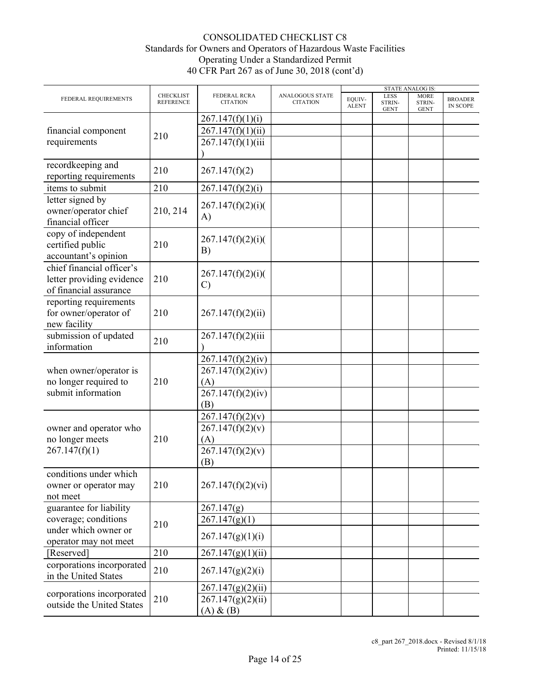|                           |                                      |                                 |                                    |                        |                               | <b>STATE ANALOG IS:</b>              |                                   |
|---------------------------|--------------------------------------|---------------------------------|------------------------------------|------------------------|-------------------------------|--------------------------------------|-----------------------------------|
| FEDERAL REQUIREMENTS      | <b>CHECKLIST</b><br><b>REFERENCE</b> | FEDERAL RCRA<br><b>CITATION</b> | ANALOGOUS STATE<br><b>CITATION</b> | EQUIV-<br><b>ALENT</b> | LESS<br>STRIN-<br><b>GENT</b> | <b>MORE</b><br>STRIN-<br><b>GENT</b> | <b>BROADER</b><br><b>IN SCOPE</b> |
|                           |                                      | 267.147(f)(1)(i)                |                                    |                        |                               |                                      |                                   |
| financial component       |                                      | 267.147(f)(1)(ii)               |                                    |                        |                               |                                      |                                   |
| requirements              | 210                                  | 267.147(f)(1)(iii)              |                                    |                        |                               |                                      |                                   |
|                           |                                      |                                 |                                    |                        |                               |                                      |                                   |
| recordkeeping and         |                                      |                                 |                                    |                        |                               |                                      |                                   |
| reporting requirements    | 210                                  | 267.147(f)(2)                   |                                    |                        |                               |                                      |                                   |
| items to submit           | 210                                  | 267.147(f)(2)(i)                |                                    |                        |                               |                                      |                                   |
| letter signed by          |                                      |                                 |                                    |                        |                               |                                      |                                   |
| owner/operator chief      | 210, 214                             | 267.147(f)(2)(i)                |                                    |                        |                               |                                      |                                   |
| financial officer         |                                      | A)                              |                                    |                        |                               |                                      |                                   |
| copy of independent       |                                      |                                 |                                    |                        |                               |                                      |                                   |
| certified public          | 210                                  | 267.147(f)(2)(i)                |                                    |                        |                               |                                      |                                   |
| accountant's opinion      |                                      | B)                              |                                    |                        |                               |                                      |                                   |
| chief financial officer's |                                      |                                 |                                    |                        |                               |                                      |                                   |
|                           | 210                                  | 267.147(f)(2)(i)                |                                    |                        |                               |                                      |                                   |
| letter providing evidence |                                      | $\mathcal{C}$                   |                                    |                        |                               |                                      |                                   |
| of financial assurance    |                                      |                                 |                                    |                        |                               |                                      |                                   |
| reporting requirements    |                                      |                                 |                                    |                        |                               |                                      |                                   |
| for owner/operator of     | 210                                  | 267.147(f)(2)(ii)               |                                    |                        |                               |                                      |                                   |
| new facility              |                                      |                                 |                                    |                        |                               |                                      |                                   |
| submission of updated     | 210                                  | 267.147(f)(2)(iii)              |                                    |                        |                               |                                      |                                   |
| information               |                                      |                                 |                                    |                        |                               |                                      |                                   |
|                           |                                      | 267.147(f)(2)(iv)               |                                    |                        |                               |                                      |                                   |
| when owner/operator is    |                                      | 267.147(f)(2)(iv)               |                                    |                        |                               |                                      |                                   |
| no longer required to     | 210                                  | (A)                             |                                    |                        |                               |                                      |                                   |
| submit information        |                                      | 267.147(f)(2)(iv)               |                                    |                        |                               |                                      |                                   |
|                           |                                      | (B)                             |                                    |                        |                               |                                      |                                   |
|                           |                                      | 267.147(f)(2)(v)                |                                    |                        |                               |                                      |                                   |
| owner and operator who    |                                      | 267.147(f)(2)(v)                |                                    |                        |                               |                                      |                                   |
| no longer meets           | 210                                  | (A)                             |                                    |                        |                               |                                      |                                   |
| 267.147(f)(1)             |                                      | 267.147(f)(2)(v)                |                                    |                        |                               |                                      |                                   |
|                           |                                      | (B)                             |                                    |                        |                               |                                      |                                   |
| conditions under which    |                                      |                                 |                                    |                        |                               |                                      |                                   |
| owner or operator may     | 210                                  | 267.147(f)(2)(vi)               |                                    |                        |                               |                                      |                                   |
| not meet                  |                                      |                                 |                                    |                        |                               |                                      |                                   |
| guarantee for liability   |                                      | 267.147(g)                      |                                    |                        |                               |                                      |                                   |
| coverage; conditions      |                                      | 267.147(g)(1)                   |                                    |                        |                               |                                      |                                   |
| under which owner or      | 210                                  |                                 |                                    |                        |                               |                                      |                                   |
| operator may not meet     |                                      | 267.147(g)(1)(i)                |                                    |                        |                               |                                      |                                   |
| [Reserved]                | 210                                  | 267.147(g)(1)(ii)               |                                    |                        |                               |                                      |                                   |
| corporations incorporated |                                      |                                 |                                    |                        |                               |                                      |                                   |
| in the United States      | 210                                  | 267.147(g)(2)(i)                |                                    |                        |                               |                                      |                                   |
| corporations incorporated |                                      | 267.147(g)(2)(ii)               |                                    |                        |                               |                                      |                                   |
| outside the United States | 210                                  | 267.147(g)(2)(ii)               |                                    |                        |                               |                                      |                                   |
|                           |                                      | $(A)$ & $(B)$                   |                                    |                        |                               |                                      |                                   |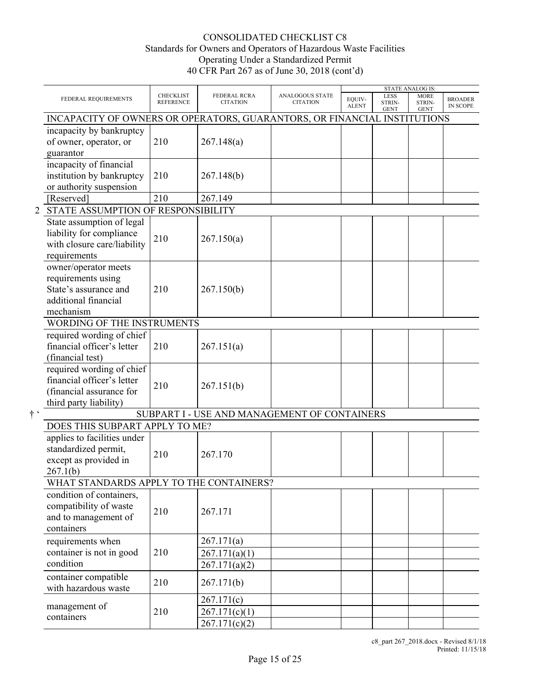|             |                                                                                                               |                                      |                                              |                                           |                        |                                      | <b>STATE ANALOG IS:</b>              |                                   |
|-------------|---------------------------------------------------------------------------------------------------------------|--------------------------------------|----------------------------------------------|-------------------------------------------|------------------------|--------------------------------------|--------------------------------------|-----------------------------------|
|             | FEDERAL REQUIREMENTS                                                                                          | <b>CHECKLIST</b><br><b>REFERENCE</b> | <b>FEDERAL RCRA</b><br><b>CITATION</b>       | <b>ANALOGOUS STATE</b><br><b>CITATION</b> | EQUIV-<br><b>ALENT</b> | <b>LESS</b><br>STRIN-<br><b>GENT</b> | <b>MORE</b><br>STRIN-<br><b>GENT</b> | <b>BROADER</b><br><b>IN SCOPE</b> |
|             | INCAPACITY OF OWNERS OR OPERATORS, GUARANTORS, OR FINANCIAL INSTITUTIONS                                      |                                      |                                              |                                           |                        |                                      |                                      |                                   |
|             | incapacity by bankruptcy<br>of owner, operator, or<br>guarantor                                               | 210                                  | 267.148(a)                                   |                                           |                        |                                      |                                      |                                   |
|             | incapacity of financial<br>institution by bankruptcy<br>or authority suspension                               | 210                                  | 267.148(b)                                   |                                           |                        |                                      |                                      |                                   |
|             | [Reserved]                                                                                                    | 210                                  | 267.149                                      |                                           |                        |                                      |                                      |                                   |
|             | 2 STATE ASSUMPTION OF RESPONSIBILITY                                                                          |                                      |                                              |                                           |                        |                                      |                                      |                                   |
|             | State assumption of legal<br>liability for compliance<br>with closure care/liability<br>requirements          | 210                                  | 267.150(a)                                   |                                           |                        |                                      |                                      |                                   |
|             | owner/operator meets<br>requirements using<br>State's assurance and<br>additional financial<br>mechanism      | 210                                  | 267.150(b)                                   |                                           |                        |                                      |                                      |                                   |
|             | WORDING OF THE INSTRUMENTS                                                                                    |                                      |                                              |                                           |                        |                                      |                                      |                                   |
|             | required wording of chief<br>financial officer's letter<br>(financial test)                                   | 210                                  | 267.151(a)                                   |                                           |                        |                                      |                                      |                                   |
|             | required wording of chief<br>financial officer's letter<br>(financial assurance for<br>third party liability) | 210                                  | 267.151(b)                                   |                                           |                        |                                      |                                      |                                   |
| $\dagger$ ' |                                                                                                               |                                      | SUBPART I - USE AND MANAGEMENT OF CONTAINERS |                                           |                        |                                      |                                      |                                   |
|             | DOES THIS SUBPART APPLY TO ME?                                                                                |                                      |                                              |                                           |                        |                                      |                                      |                                   |
|             | applies to facilities under<br>standardized permit,<br>except as provided in<br>267.1(b)                      | 210                                  | 267.170                                      |                                           |                        |                                      |                                      |                                   |
|             | WHAT STANDARDS APPLY TO THE CONTAINERS?                                                                       |                                      |                                              |                                           |                        |                                      |                                      |                                   |
|             | condition of containers,<br>compatibility of waste<br>and to management of<br>containers                      | 210                                  | 267.171                                      |                                           |                        |                                      |                                      |                                   |
|             | requirements when<br>container is not in good<br>condition                                                    | 210                                  | 267.171(a)<br>267.171(a)(1)<br>267.171(a)(2) |                                           |                        |                                      |                                      |                                   |
|             | container compatible<br>with hazardous waste                                                                  | 210                                  | 267.171(b)                                   |                                           |                        |                                      |                                      |                                   |
|             | management of<br>containers                                                                                   | 210                                  | 267.171(c)<br>267.171(c)(1)<br>267.171(c)(2) |                                           |                        |                                      |                                      |                                   |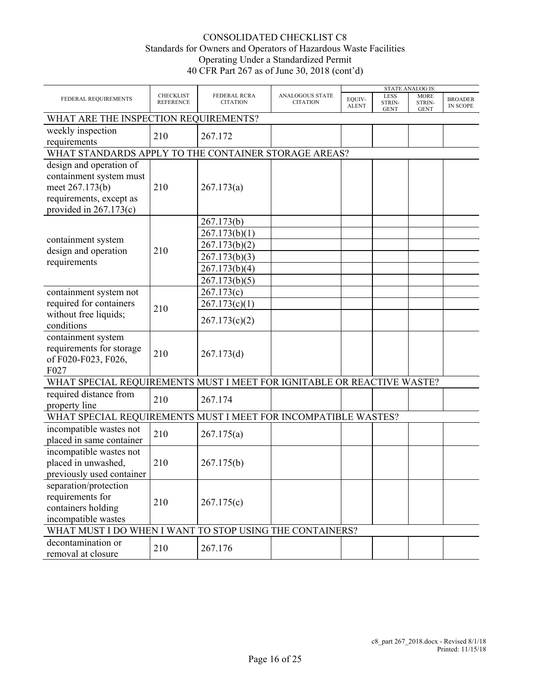|                                                                                                                              |                                      |                                                 |                                           |                        |                               | <b>STATE ANALOG IS:</b>              |                                   |  |  |  |
|------------------------------------------------------------------------------------------------------------------------------|--------------------------------------|-------------------------------------------------|-------------------------------------------|------------------------|-------------------------------|--------------------------------------|-----------------------------------|--|--|--|
| FEDERAL REQUIREMENTS                                                                                                         | <b>CHECKLIST</b><br><b>REFERENCE</b> | <b>FEDERAL RCRA</b><br><b>CITATION</b>          | <b>ANALOGOUS STATE</b><br><b>CITATION</b> | EQUIV-<br><b>ALENT</b> | LESS<br>STRIN-<br><b>GENT</b> | <b>MORE</b><br>STRIN-<br><b>GENT</b> | <b>BROADER</b><br><b>IN SCOPE</b> |  |  |  |
| WHAT ARE THE INSPECTION REQUIREMENTS?                                                                                        |                                      |                                                 |                                           |                        |                               |                                      |                                   |  |  |  |
| weekly inspection<br>requirements                                                                                            | 210                                  | 267.172                                         |                                           |                        |                               |                                      |                                   |  |  |  |
| WHAT STANDARDS APPLY TO THE CONTAINER STORAGE AREAS?                                                                         |                                      |                                                 |                                           |                        |                               |                                      |                                   |  |  |  |
| design and operation of<br>containment system must<br>meet 267.173(b)<br>requirements, except as<br>provided in $267.173(c)$ | 210                                  | 267.173(a)                                      |                                           |                        |                               |                                      |                                   |  |  |  |
|                                                                                                                              |                                      | 267.173(b)                                      |                                           |                        |                               |                                      |                                   |  |  |  |
| containment system<br>design and operation                                                                                   | 210                                  | 267.173(b)(1)<br>267.173(b)(2)<br>267.173(b)(3) |                                           |                        |                               |                                      |                                   |  |  |  |
| requirements                                                                                                                 |                                      | 267.173(b)(4)                                   |                                           |                        |                               |                                      |                                   |  |  |  |
|                                                                                                                              |                                      | 267.173(b)(5)                                   |                                           |                        |                               |                                      |                                   |  |  |  |
| containment system not                                                                                                       |                                      | 267.173(c)                                      |                                           |                        |                               |                                      |                                   |  |  |  |
| required for containers<br>without free liquids;<br>conditions                                                               |                                      | 267.173(c)(1)                                   |                                           |                        |                               |                                      |                                   |  |  |  |
|                                                                                                                              | 210                                  | 267.173(c)(2)                                   |                                           |                        |                               |                                      |                                   |  |  |  |
| containment system<br>requirements for storage<br>of F020-F023, F026,<br>F027                                                | 210                                  | 267.173(d)                                      |                                           |                        |                               |                                      |                                   |  |  |  |
| WHAT SPECIAL REQUIREMENTS MUST I MEET FOR IGNITABLE OR REACTIVE WASTE?                                                       |                                      |                                                 |                                           |                        |                               |                                      |                                   |  |  |  |
| required distance from<br>property line                                                                                      | 210                                  | 267.174                                         |                                           |                        |                               |                                      |                                   |  |  |  |
| WHAT SPECIAL REQUIREMENTS MUST I MEET FOR INCOMPATIBLE WASTES?                                                               |                                      |                                                 |                                           |                        |                               |                                      |                                   |  |  |  |
| incompatible wastes not<br>placed in same container                                                                          | 210                                  | 267.175(a)                                      |                                           |                        |                               |                                      |                                   |  |  |  |
| incompatible wastes not<br>placed in unwashed,<br>previously used container                                                  | 210                                  | 267.175(b)                                      |                                           |                        |                               |                                      |                                   |  |  |  |
| separation/protection<br>requirements for<br>containers holding<br>incompatible wastes                                       | 210                                  | 267.175(c)                                      |                                           |                        |                               |                                      |                                   |  |  |  |
| WHAT MUST I DO WHEN I WANT TO STOP USING THE CONTAINERS?                                                                     |                                      |                                                 |                                           |                        |                               |                                      |                                   |  |  |  |
| decontamination or<br>removal at closure                                                                                     | 210                                  | 267.176                                         |                                           |                        |                               |                                      |                                   |  |  |  |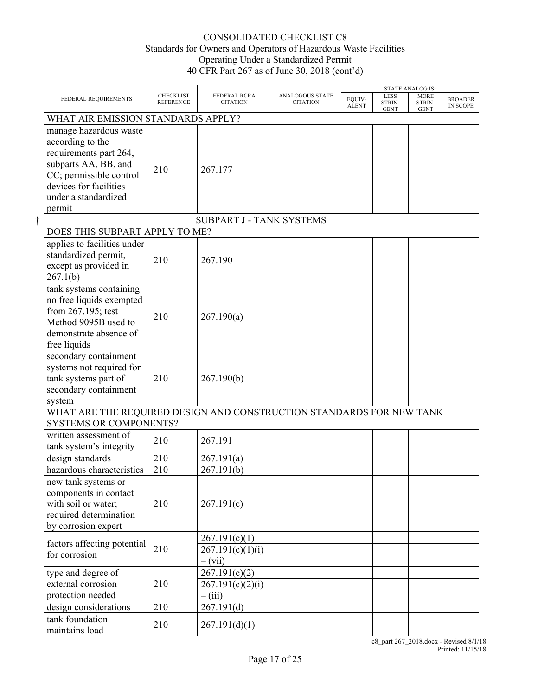|                                                                                                                                                                                     |                                      |                                                |                                           |                        |                               | <b>STATE ANALOG IS:</b>              |                            |
|-------------------------------------------------------------------------------------------------------------------------------------------------------------------------------------|--------------------------------------|------------------------------------------------|-------------------------------------------|------------------------|-------------------------------|--------------------------------------|----------------------------|
| FEDERAL REQUIREMENTS                                                                                                                                                                | <b>CHECKLIST</b><br><b>REFERENCE</b> | <b>FEDERAL RCRA</b><br><b>CITATION</b>         | <b>ANALOGOUS STATE</b><br><b>CITATION</b> | EQUIV-<br><b>ALENT</b> | LESS<br>STRIN-<br><b>GENT</b> | <b>MORE</b><br>STRIN-<br><b>GENT</b> | <b>BROADER</b><br>IN SCOPE |
| WHAT AIR EMISSION STANDARDS APPLY?                                                                                                                                                  |                                      |                                                |                                           |                        |                               |                                      |                            |
| manage hazardous waste<br>according to the<br>requirements part 264,<br>subparts AA, BB, and<br>CC; permissible control<br>devices for facilities<br>under a standardized<br>permit | 210                                  | 267.177                                        |                                           |                        |                               |                                      |                            |
|                                                                                                                                                                                     |                                      | SUBPART J - TANK SYSTEMS                       |                                           |                        |                               |                                      |                            |
| DOES THIS SUBPART APPLY TO ME?                                                                                                                                                      |                                      |                                                |                                           |                        |                               |                                      |                            |
| applies to facilities under<br>standardized permit,<br>except as provided in<br>267.1(b)                                                                                            | 210                                  | 267.190                                        |                                           |                        |                               |                                      |                            |
| tank systems containing<br>no free liquids exempted<br>from 267.195; test<br>Method 9095B used to<br>demonstrate absence of<br>free liquids                                         | 210                                  | 267.190(a)                                     |                                           |                        |                               |                                      |                            |
| secondary containment<br>systems not required for<br>tank systems part of<br>secondary containment<br>system                                                                        | 210                                  | 267.190(b)                                     |                                           |                        |                               |                                      |                            |
| WHAT ARE THE REQUIRED DESIGN AND CONSTRUCTION STANDARDS FOR NEW TANK<br><b>SYSTEMS OR COMPONENTS?</b>                                                                               |                                      |                                                |                                           |                        |                               |                                      |                            |
| written assessment of<br>tank system's integrity                                                                                                                                    | 210                                  | 267.191                                        |                                           |                        |                               |                                      |                            |
| design standards                                                                                                                                                                    | 210                                  | 267.191(a)                                     |                                           |                        |                               |                                      |                            |
| hazardous characteristics                                                                                                                                                           | 210                                  | 267.191(b)                                     |                                           |                        |                               |                                      |                            |
| new tank systems or<br>components in contact<br>with soil or water;<br>required determination<br>by corrosion expert                                                                | 210                                  | 267.191(c)                                     |                                           |                        |                               |                                      |                            |
| factors affecting potential<br>for corrosion                                                                                                                                        | 210                                  | 267.191(c)(1)<br>267.191(c)(1)(i)<br>$-$ (vii) |                                           |                        |                               |                                      |                            |
| type and degree of<br>external corrosion<br>protection needed                                                                                                                       | 210                                  | 267.191(c)(2)<br>267.191(c)(2)(i)<br>$-$ (iii) |                                           |                        |                               |                                      |                            |
| design considerations                                                                                                                                                               | 210                                  | 267.191(d)                                     |                                           |                        |                               |                                      |                            |
| tank foundation<br>maintains load                                                                                                                                                   | 210                                  | 267.191(d)(1)                                  |                                           |                        |                               |                                      |                            |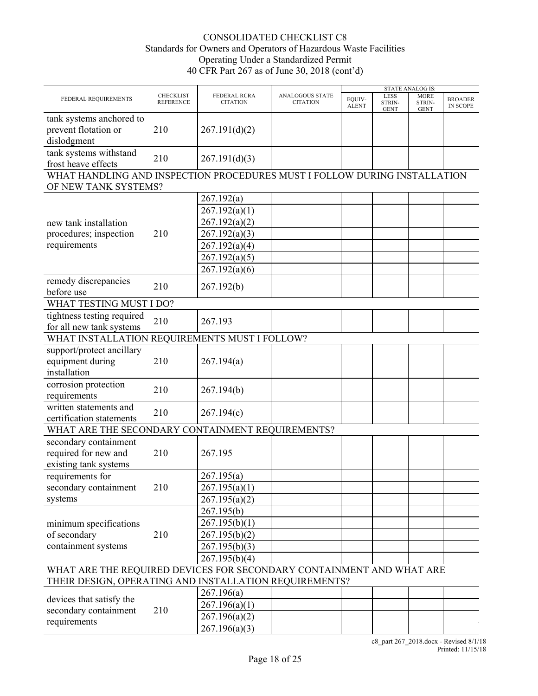|                                                                                                                                |                                      |                                 |                                    | <b>STATE ANALOG IS:</b> |                                      |                                      |                                   |  |
|--------------------------------------------------------------------------------------------------------------------------------|--------------------------------------|---------------------------------|------------------------------------|-------------------------|--------------------------------------|--------------------------------------|-----------------------------------|--|
| FEDERAL REQUIREMENTS                                                                                                           | <b>CHECKLIST</b><br><b>REFERENCE</b> | FEDERAL RCRA<br><b>CITATION</b> | ANALOGOUS STATE<br><b>CITATION</b> | EQUIV-<br><b>ALENT</b>  | <b>LESS</b><br>STRIN-<br><b>GENT</b> | <b>MORE</b><br>STRIN-<br><b>GENT</b> | <b>BROADER</b><br><b>IN SCOPE</b> |  |
| tank systems anchored to<br>prevent flotation or<br>dislodgment                                                                | 210                                  | 267.191(d)(2)                   |                                    |                         |                                      |                                      |                                   |  |
| tank systems withstand<br>frost heave effects                                                                                  | 210                                  | 267.191(d)(3)                   |                                    |                         |                                      |                                      |                                   |  |
| WHAT HANDLING AND INSPECTION PROCEDURES MUST I FOLLOW DURING INSTALLATION<br>OF NEW TANK SYSTEMS?                              |                                      |                                 |                                    |                         |                                      |                                      |                                   |  |
|                                                                                                                                |                                      | 267.192(a)                      |                                    |                         |                                      |                                      |                                   |  |
|                                                                                                                                |                                      | 267.192(a)(1)                   |                                    |                         |                                      |                                      |                                   |  |
| new tank installation                                                                                                          |                                      | 267.192(a)(2)                   |                                    |                         |                                      |                                      |                                   |  |
| procedures; inspection                                                                                                         | 210                                  | 267.192(a)(3)                   |                                    |                         |                                      |                                      |                                   |  |
| requirements                                                                                                                   |                                      | 267.192(a)(4)                   |                                    |                         |                                      |                                      |                                   |  |
|                                                                                                                                |                                      | 267.192(a)(5)                   |                                    |                         |                                      |                                      |                                   |  |
|                                                                                                                                |                                      | 267.192(a)(6)                   |                                    |                         |                                      |                                      |                                   |  |
| remedy discrepancies<br>before use                                                                                             | 210                                  | 267.192(b)                      |                                    |                         |                                      |                                      |                                   |  |
| WHAT TESTING MUST I DO?                                                                                                        |                                      |                                 |                                    |                         |                                      |                                      |                                   |  |
| tightness testing required<br>for all new tank systems                                                                         | 210                                  | 267.193                         |                                    |                         |                                      |                                      |                                   |  |
| WHAT INSTALLATION REQUIREMENTS MUST I FOLLOW?                                                                                  |                                      |                                 |                                    |                         |                                      |                                      |                                   |  |
| support/protect ancillary<br>equipment during<br>installation                                                                  | 210                                  | 267.194(a)                      |                                    |                         |                                      |                                      |                                   |  |
| corrosion protection<br>requirements                                                                                           | 210                                  | 267.194(b)                      |                                    |                         |                                      |                                      |                                   |  |
| written statements and<br>certification statements                                                                             | 210                                  | 267.194(c)                      |                                    |                         |                                      |                                      |                                   |  |
| WHAT ARE THE SECONDARY CONTAINMENT REQUIREMENTS?                                                                               |                                      |                                 |                                    |                         |                                      |                                      |                                   |  |
| secondary containment<br>required for new and<br>existing tank systems                                                         | 210                                  | 267.195                         |                                    |                         |                                      |                                      |                                   |  |
| requirements for                                                                                                               |                                      | 267.195(a)                      |                                    |                         |                                      |                                      |                                   |  |
| secondary containment                                                                                                          | 210                                  | 267.195(a)(1)                   |                                    |                         |                                      |                                      |                                   |  |
| systems                                                                                                                        |                                      | 267.195(a)(2)                   |                                    |                         |                                      |                                      |                                   |  |
|                                                                                                                                |                                      | 267.195(b)                      |                                    |                         |                                      |                                      |                                   |  |
| minimum specifications                                                                                                         |                                      | 267.195(b)(1)                   |                                    |                         |                                      |                                      |                                   |  |
| of secondary                                                                                                                   | 210                                  | 267.195(b)(2)                   |                                    |                         |                                      |                                      |                                   |  |
| containment systems                                                                                                            |                                      | 267.195(b)(3)                   |                                    |                         |                                      |                                      |                                   |  |
|                                                                                                                                |                                      | 267.195(b)(4)                   |                                    |                         |                                      |                                      |                                   |  |
| WHAT ARE THE REQUIRED DEVICES FOR SECONDARY CONTAINMENT AND WHAT ARE<br>THEIR DESIGN, OPERATING AND INSTALLATION REQUIREMENTS? |                                      |                                 |                                    |                         |                                      |                                      |                                   |  |
|                                                                                                                                |                                      | 267.196(a)                      |                                    |                         |                                      |                                      |                                   |  |
| devices that satisfy the                                                                                                       |                                      | 267.196(a)(1)                   |                                    |                         |                                      |                                      |                                   |  |
| secondary containment                                                                                                          | 210                                  | 267.196(a)(2)                   |                                    |                         |                                      |                                      |                                   |  |
| requirements                                                                                                                   |                                      |                                 |                                    |                         |                                      |                                      |                                   |  |
|                                                                                                                                |                                      | 267.196(a)(3)                   |                                    |                         |                                      |                                      |                                   |  |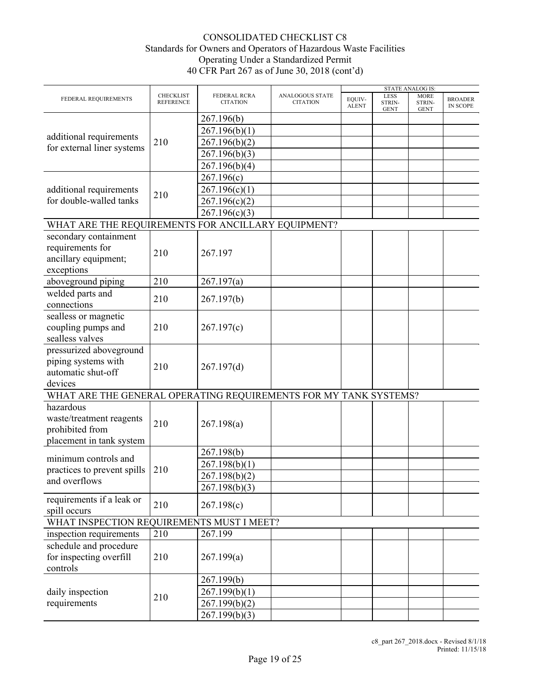|                                                                  |                                      |                                 |                                    |                        |                                      | <b>STATE ANALOG IS:</b>              |                                   |
|------------------------------------------------------------------|--------------------------------------|---------------------------------|------------------------------------|------------------------|--------------------------------------|--------------------------------------|-----------------------------------|
| FEDERAL REQUIREMENTS                                             | <b>CHECKLIST</b><br><b>REFERENCE</b> | FEDERAL RCRA<br><b>CITATION</b> | ANALOGOUS STATE<br><b>CITATION</b> | EQUIV-<br><b>ALENT</b> | <b>LESS</b><br>STRIN-<br><b>GENT</b> | <b>MORE</b><br>STRIN-<br><b>GENT</b> | <b>BROADER</b><br><b>IN SCOPE</b> |
|                                                                  |                                      | 267.196(b)                      |                                    |                        |                                      |                                      |                                   |
|                                                                  |                                      | 267.196(b)(1)                   |                                    |                        |                                      |                                      |                                   |
| additional requirements                                          | 210                                  | 267.196(b)(2)                   |                                    |                        |                                      |                                      |                                   |
| for external liner systems                                       |                                      | 267.196(b)(3)                   |                                    |                        |                                      |                                      |                                   |
|                                                                  |                                      | 267.196(b)(4)                   |                                    |                        |                                      |                                      |                                   |
|                                                                  |                                      |                                 |                                    |                        |                                      |                                      |                                   |
|                                                                  |                                      | 267.196(c)                      |                                    |                        |                                      |                                      |                                   |
| additional requirements                                          | 210                                  | 267.196(c)(1)                   |                                    |                        |                                      |                                      |                                   |
| for double-walled tanks                                          |                                      | 267.196(c)(2)                   |                                    |                        |                                      |                                      |                                   |
|                                                                  |                                      | 267.196(c)(3)                   |                                    |                        |                                      |                                      |                                   |
| WHAT ARE THE REQUIREMENTS FOR ANCILLARY EQUIPMENT?               |                                      |                                 |                                    |                        |                                      |                                      |                                   |
| secondary containment                                            |                                      |                                 |                                    |                        |                                      |                                      |                                   |
| requirements for                                                 | 210                                  |                                 |                                    |                        |                                      |                                      |                                   |
| ancillary equipment;                                             |                                      | 267.197                         |                                    |                        |                                      |                                      |                                   |
| exceptions                                                       |                                      |                                 |                                    |                        |                                      |                                      |                                   |
| aboveground piping                                               | 210                                  | 267.197(a)                      |                                    |                        |                                      |                                      |                                   |
| welded parts and                                                 |                                      |                                 |                                    |                        |                                      |                                      |                                   |
| connections                                                      | 210                                  | 267.197(b)                      |                                    |                        |                                      |                                      |                                   |
| sealless or magnetic                                             |                                      |                                 |                                    |                        |                                      |                                      |                                   |
| coupling pumps and                                               | 210                                  | 267.197(c)                      |                                    |                        |                                      |                                      |                                   |
| sealless valves                                                  |                                      |                                 |                                    |                        |                                      |                                      |                                   |
| pressurized aboveground                                          |                                      |                                 |                                    |                        |                                      |                                      |                                   |
| piping systems with                                              |                                      |                                 |                                    |                        |                                      |                                      |                                   |
| automatic shut-off                                               | 210                                  | 267.197(d)                      |                                    |                        |                                      |                                      |                                   |
| devices                                                          |                                      |                                 |                                    |                        |                                      |                                      |                                   |
|                                                                  |                                      |                                 |                                    |                        |                                      |                                      |                                   |
| WHAT ARE THE GENERAL OPERATING REQUIREMENTS FOR MY TANK SYSTEMS? |                                      |                                 |                                    |                        |                                      |                                      |                                   |
| hazardous                                                        |                                      |                                 |                                    |                        |                                      |                                      |                                   |
| waste/treatment reagents                                         | 210                                  | 267.198(a)                      |                                    |                        |                                      |                                      |                                   |
| prohibited from                                                  |                                      |                                 |                                    |                        |                                      |                                      |                                   |
| placement in tank system                                         |                                      |                                 |                                    |                        |                                      |                                      |                                   |
| minimum controls and                                             |                                      | 267.198(b)                      |                                    |                        |                                      |                                      |                                   |
| practices to prevent spills                                      | 210                                  | 267.198(b)(1)                   |                                    |                        |                                      |                                      |                                   |
| and overflows                                                    |                                      | 267.198(b)(2)                   |                                    |                        |                                      |                                      |                                   |
|                                                                  |                                      | 267.198(b)(3)                   |                                    |                        |                                      |                                      |                                   |
| requirements if a leak or                                        |                                      |                                 |                                    |                        |                                      |                                      |                                   |
| spill occurs                                                     | 210                                  | 267.198(c)                      |                                    |                        |                                      |                                      |                                   |
| WHAT INSPECTION REQUIREMENTS MUST I MEET?                        |                                      |                                 |                                    |                        |                                      |                                      |                                   |
| inspection requirements                                          | 210                                  | 267.199                         |                                    |                        |                                      |                                      |                                   |
| schedule and procedure                                           |                                      |                                 |                                    |                        |                                      |                                      |                                   |
| for inspecting overfill                                          | 210                                  | 267.199(a)                      |                                    |                        |                                      |                                      |                                   |
| controls                                                         |                                      |                                 |                                    |                        |                                      |                                      |                                   |
|                                                                  |                                      | 267.199(b)                      |                                    |                        |                                      |                                      |                                   |
|                                                                  |                                      |                                 |                                    |                        |                                      |                                      |                                   |
| daily inspection                                                 | 210                                  | 267.199(b)(1)                   |                                    |                        |                                      |                                      |                                   |
| requirements                                                     |                                      | 267.199(b)(2)                   |                                    |                        |                                      |                                      |                                   |
|                                                                  |                                      | 267.199(b)(3)                   |                                    |                        |                                      |                                      |                                   |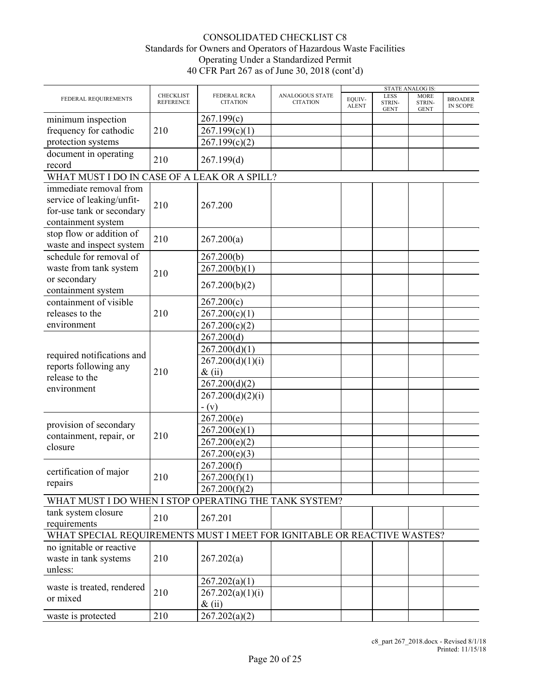|                                                       |                                      |                                 |                                    | <b>STATE ANALOG IS:</b> |                                      |                                                                         |                                   |  |  |  |
|-------------------------------------------------------|--------------------------------------|---------------------------------|------------------------------------|-------------------------|--------------------------------------|-------------------------------------------------------------------------|-----------------------------------|--|--|--|
| FEDERAL REQUIREMENTS                                  | <b>CHECKLIST</b><br><b>REFERENCE</b> | FEDERAL RCRA<br><b>CITATION</b> | ANALOGOUS STATE<br><b>CITATION</b> | EQUIV-<br><b>ALENT</b>  | <b>LESS</b><br>STRIN-<br><b>GENT</b> | <b>MORE</b><br>STRIN-<br><b>GENT</b>                                    | <b>BROADER</b><br><b>IN SCOPE</b> |  |  |  |
| minimum inspection                                    |                                      | 267.199(c)                      |                                    |                         |                                      |                                                                         |                                   |  |  |  |
| frequency for cathodic                                | 210                                  | 267.199(c)(1)                   |                                    |                         |                                      |                                                                         |                                   |  |  |  |
| protection systems                                    |                                      | 267.199(c)(2)                   |                                    |                         |                                      |                                                                         |                                   |  |  |  |
| document in operating                                 | 210                                  | 267.199(d)                      |                                    |                         |                                      |                                                                         |                                   |  |  |  |
| record                                                |                                      |                                 |                                    |                         |                                      |                                                                         |                                   |  |  |  |
| WHAT MUST I DO IN CASE OF A LEAK OR A SPILL?          |                                      |                                 |                                    |                         |                                      |                                                                         |                                   |  |  |  |
| immediate removal from                                |                                      |                                 |                                    |                         |                                      |                                                                         |                                   |  |  |  |
| service of leaking/unfit-                             | 210                                  | 267.200                         |                                    |                         |                                      |                                                                         |                                   |  |  |  |
| for-use tank or secondary                             |                                      |                                 |                                    |                         |                                      |                                                                         |                                   |  |  |  |
| containment system                                    |                                      |                                 |                                    |                         |                                      |                                                                         |                                   |  |  |  |
| stop flow or addition of                              | 210                                  | 267.200(a)                      |                                    |                         |                                      |                                                                         |                                   |  |  |  |
| waste and inspect system                              |                                      |                                 |                                    |                         |                                      |                                                                         |                                   |  |  |  |
| schedule for removal of                               |                                      | 267.200(b)                      |                                    |                         |                                      |                                                                         |                                   |  |  |  |
| waste from tank system                                |                                      | 267.200(b)(1)                   |                                    |                         |                                      |                                                                         |                                   |  |  |  |
| or secondary                                          | 210                                  |                                 |                                    |                         |                                      |                                                                         |                                   |  |  |  |
| containment system                                    |                                      | 267.200(b)(2)                   |                                    |                         |                                      |                                                                         |                                   |  |  |  |
| containment of visible                                |                                      | 267.200(c)                      |                                    |                         |                                      |                                                                         |                                   |  |  |  |
| releases to the                                       | 210                                  | 267.200(c)(1)                   |                                    |                         |                                      |                                                                         |                                   |  |  |  |
| environment                                           |                                      | 267.200(c)(2)                   |                                    |                         |                                      |                                                                         |                                   |  |  |  |
|                                                       |                                      | 267.200(d)                      |                                    |                         |                                      |                                                                         |                                   |  |  |  |
|                                                       |                                      |                                 |                                    |                         |                                      |                                                                         |                                   |  |  |  |
| required notifications and                            |                                      | 267.200(d)(1)                   |                                    |                         |                                      |                                                                         |                                   |  |  |  |
| reports following any                                 |                                      | 267.200(d)(1)(i)                |                                    |                         |                                      | WHAT SPECIAL REQUIREMENTS MUST I MEET FOR IGNITABLE OR REACTIVE WASTES? |                                   |  |  |  |
| release to the                                        | 210                                  | $\&$ (ii)                       |                                    |                         |                                      |                                                                         |                                   |  |  |  |
| environment                                           |                                      | 267.200(d)(2)                   |                                    |                         |                                      |                                                                         |                                   |  |  |  |
|                                                       |                                      | 267.200(d)(2)(i)                |                                    |                         |                                      |                                                                         |                                   |  |  |  |
|                                                       |                                      | $-(v)$                          |                                    |                         |                                      |                                                                         |                                   |  |  |  |
|                                                       |                                      | 267.200(e)                      |                                    |                         |                                      |                                                                         |                                   |  |  |  |
| provision of secondary                                |                                      | 267.200(e)(1)                   |                                    |                         |                                      |                                                                         |                                   |  |  |  |
| containment, repair, or                               | 210                                  | 267.200(e)(2)                   |                                    |                         |                                      |                                                                         |                                   |  |  |  |
| closure                                               |                                      | 267.200(e)(3)                   |                                    |                         |                                      |                                                                         |                                   |  |  |  |
|                                                       |                                      | 267.200(f)                      |                                    |                         |                                      |                                                                         |                                   |  |  |  |
| certification of major                                | 210                                  | 267.200(f)(1)                   |                                    |                         |                                      |                                                                         |                                   |  |  |  |
| repairs                                               |                                      | 267.200(f)(2)                   |                                    |                         |                                      |                                                                         |                                   |  |  |  |
| WHAT MUST I DO WHEN I STOP OPERATING THE TANK SYSTEM? |                                      |                                 |                                    |                         |                                      |                                                                         |                                   |  |  |  |
| tank system closure                                   |                                      |                                 |                                    |                         |                                      |                                                                         |                                   |  |  |  |
| requirements                                          | 210                                  | 267.201                         |                                    |                         |                                      |                                                                         |                                   |  |  |  |
|                                                       |                                      |                                 |                                    |                         |                                      |                                                                         |                                   |  |  |  |
|                                                       |                                      |                                 |                                    |                         |                                      |                                                                         |                                   |  |  |  |
| no ignitable or reactive                              |                                      |                                 |                                    |                         |                                      |                                                                         |                                   |  |  |  |
| waste in tank systems                                 | 210                                  | 267.202(a)                      |                                    |                         |                                      |                                                                         |                                   |  |  |  |
| unless:                                               |                                      |                                 |                                    |                         |                                      |                                                                         |                                   |  |  |  |
| waste is treated, rendered                            |                                      | 267.202(a)(1)                   |                                    |                         |                                      |                                                                         |                                   |  |  |  |
| or mixed                                              | 210                                  | 267.202(a)(1)(i)                |                                    |                         |                                      |                                                                         |                                   |  |  |  |
|                                                       |                                      | $\&$ (ii)                       |                                    |                         |                                      |                                                                         |                                   |  |  |  |
| waste is protected                                    | 210                                  | 267.202(a)(2)                   |                                    |                         |                                      |                                                                         |                                   |  |  |  |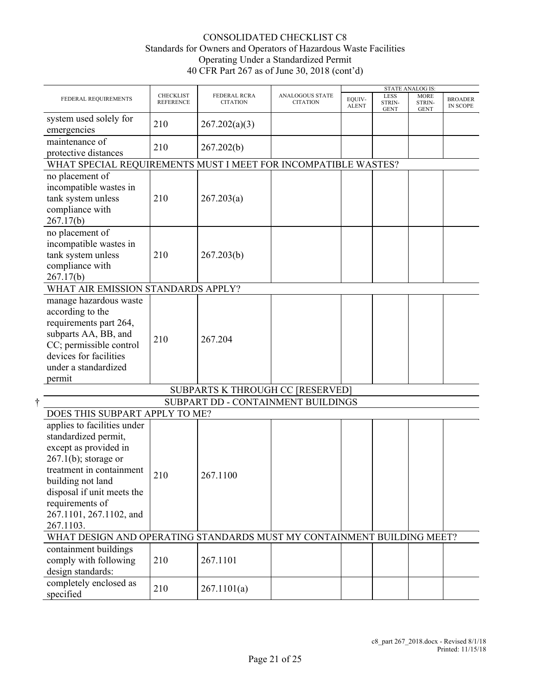|                                                                                                                                                                                                                                                   |                                      |                                         |                                    |                        |                                      | <b>STATE ANALOG IS:</b>              |                                   |
|---------------------------------------------------------------------------------------------------------------------------------------------------------------------------------------------------------------------------------------------------|--------------------------------------|-----------------------------------------|------------------------------------|------------------------|--------------------------------------|--------------------------------------|-----------------------------------|
| FEDERAL REQUIREMENTS                                                                                                                                                                                                                              | <b>CHECKLIST</b><br><b>REFERENCE</b> | FEDERAL RCRA<br><b>CITATION</b>         | ANALOGOUS STATE<br><b>CITATION</b> | EQUIV-<br><b>ALENT</b> | <b>LESS</b><br>STRIN-<br><b>GENT</b> | <b>MORE</b><br>STRIN-<br><b>GENT</b> | <b>BROADER</b><br><b>IN SCOPE</b> |
| system used solely for<br>emergencies                                                                                                                                                                                                             | 210                                  | 267.202(a)(3)                           |                                    |                        |                                      |                                      |                                   |
| maintenance of<br>protective distances                                                                                                                                                                                                            | 210                                  | 267.202(b)                              |                                    |                        |                                      |                                      |                                   |
| WHAT SPECIAL REQUIREMENTS MUST I MEET FOR INCOMPATIBLE WASTES?                                                                                                                                                                                    |                                      |                                         |                                    |                        |                                      |                                      |                                   |
| no placement of<br>incompatible wastes in<br>tank system unless<br>compliance with<br>267.17(b)                                                                                                                                                   | 210                                  | 267.203(a)                              |                                    |                        |                                      |                                      |                                   |
| no placement of<br>incompatible wastes in<br>tank system unless<br>compliance with<br>267.17(b)                                                                                                                                                   | 210                                  | 267.203(b)                              |                                    |                        |                                      |                                      |                                   |
| WHAT AIR EMISSION STANDARDS APPLY?                                                                                                                                                                                                                |                                      |                                         |                                    |                        |                                      |                                      |                                   |
| manage hazardous waste<br>according to the<br>requirements part 264,<br>subparts AA, BB, and<br>CC; permissible control<br>devices for facilities<br>under a standardized<br>permit                                                               | 210                                  | 267.204                                 |                                    |                        |                                      |                                      |                                   |
|                                                                                                                                                                                                                                                   |                                      | <b>SUBPARTS K THROUGH CC [RESERVED]</b> |                                    |                        |                                      |                                      |                                   |
|                                                                                                                                                                                                                                                   |                                      | SUBPART DD - CONTAINMENT BUILDINGS      |                                    |                        |                                      |                                      |                                   |
| DOES THIS SUBPART APPLY TO ME?                                                                                                                                                                                                                    |                                      |                                         |                                    |                        |                                      |                                      |                                   |
| applies to facilities under<br>standardized permit,<br>except as provided in<br>$267.1(b)$ ; storage or<br>treatment in containment<br>building not land<br>disposal if unit meets the<br>requirements of<br>267.1101, 267.1102, and<br>267.1103. | 210                                  | 267.1100                                |                                    |                        |                                      |                                      |                                   |
| WHAT DESIGN AND OPERATING STANDARDS MUST MY CONTAINMENT BUILDING MEET?                                                                                                                                                                            |                                      |                                         |                                    |                        |                                      |                                      |                                   |
| containment buildings<br>comply with following<br>design standards:                                                                                                                                                                               | 210                                  | 267.1101                                |                                    |                        |                                      |                                      |                                   |
| completely enclosed as<br>specified                                                                                                                                                                                                               | 210                                  | 267.1101(a)                             |                                    |                        |                                      |                                      |                                   |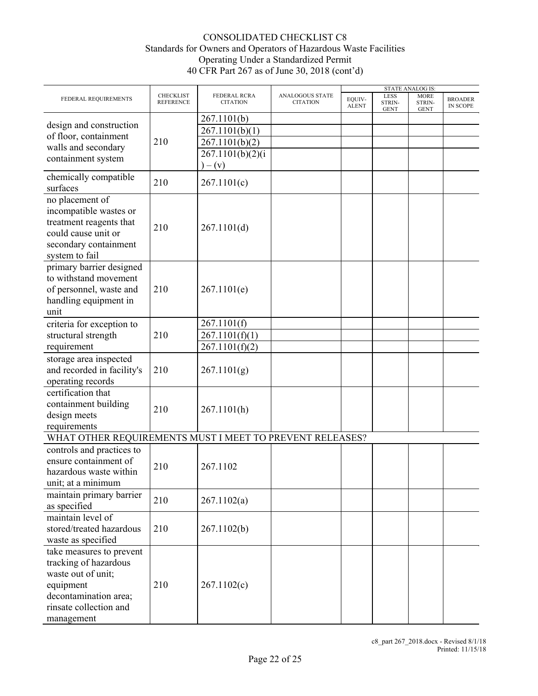|                                                                                                                                                       |                               |                                 |                                    |                        |                               | <b>STATE ANALOG IS:</b>              |                                   |
|-------------------------------------------------------------------------------------------------------------------------------------------------------|-------------------------------|---------------------------------|------------------------------------|------------------------|-------------------------------|--------------------------------------|-----------------------------------|
| FEDERAL REQUIREMENTS                                                                                                                                  | CHECKLIST<br><b>REFERENCE</b> | FEDERAL RCRA<br><b>CITATION</b> | ANALOGOUS STATE<br><b>CITATION</b> | EQUIV-<br><b>ALENT</b> | LESS<br>STRIN-<br><b>GENT</b> | <b>MORE</b><br>STRIN-<br><b>GENT</b> | <b>BROADER</b><br><b>IN SCOPE</b> |
|                                                                                                                                                       |                               | 267.1101(b)                     |                                    |                        |                               |                                      |                                   |
| design and construction                                                                                                                               |                               | 267.1101(b)(1)                  |                                    |                        |                               |                                      |                                   |
| of floor, containment                                                                                                                                 | 210                           |                                 |                                    |                        |                               |                                      |                                   |
| walls and secondary                                                                                                                                   |                               | 267.1101(b)(2)                  |                                    |                        |                               |                                      |                                   |
| containment system                                                                                                                                    |                               | 267.1101(b)(2)(i)               |                                    |                        |                               |                                      |                                   |
|                                                                                                                                                       |                               | $)- (v)$                        |                                    |                        |                               |                                      |                                   |
| chemically compatible<br>surfaces                                                                                                                     | 210                           | 267.1101(c)                     |                                    |                        |                               |                                      |                                   |
| no placement of<br>incompatible wastes or<br>treatment reagents that<br>could cause unit or<br>secondary containment<br>system to fail                | 210                           | 267.1101(d)                     |                                    |                        |                               |                                      |                                   |
| primary barrier designed<br>to withstand movement<br>of personnel, waste and<br>handling equipment in<br>unit                                         | 210                           | 267.1101(e)                     |                                    |                        |                               |                                      |                                   |
| criteria for exception to                                                                                                                             |                               | 267.1101(f)                     |                                    |                        |                               |                                      |                                   |
| structural strength                                                                                                                                   | 210                           | 267.1101(f)(1)                  |                                    |                        |                               |                                      |                                   |
| requirement                                                                                                                                           |                               |                                 |                                    |                        |                               |                                      |                                   |
|                                                                                                                                                       |                               | 267.1101(f)(2)                  |                                    |                        |                               |                                      |                                   |
| storage area inspected<br>and recorded in facility's<br>operating records                                                                             | 210                           | 267.1101(g)                     |                                    |                        |                               |                                      |                                   |
| certification that<br>containment building<br>design meets<br>requirements                                                                            | 210                           | 267.1101(h)                     |                                    |                        |                               |                                      |                                   |
| WHAT OTHER REQUIREMENTS MUST I MEET TO PREVENT RELEASES?                                                                                              |                               |                                 |                                    |                        |                               |                                      |                                   |
| controls and practices to<br>ensure containment of<br>hazardous waste within<br>unit; at a minimum                                                    | 210                           | 267.1102                        |                                    |                        |                               |                                      |                                   |
| maintain primary barrier<br>as specified                                                                                                              | 210                           | 267.1102(a)                     |                                    |                        |                               |                                      |                                   |
| maintain level of<br>stored/treated hazardous<br>waste as specified                                                                                   | 210                           | 267.1102(b)                     |                                    |                        |                               |                                      |                                   |
| take measures to prevent<br>tracking of hazardous<br>waste out of unit;<br>equipment<br>decontamination area;<br>rinsate collection and<br>management | 210                           | 267.1102(c)                     |                                    |                        |                               |                                      |                                   |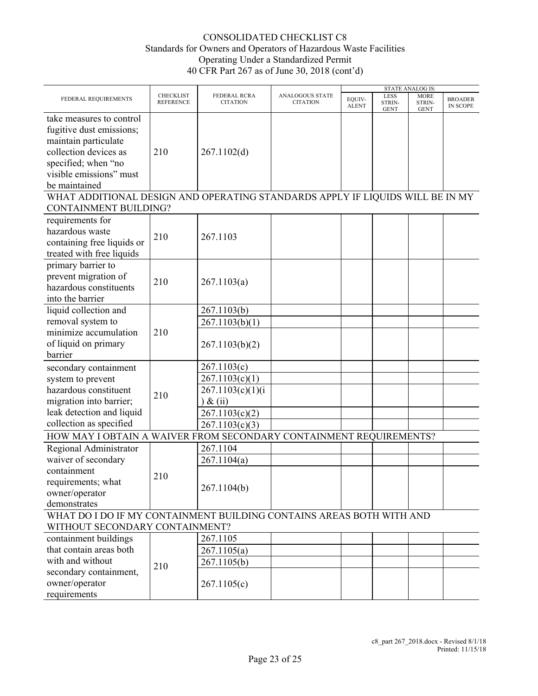|                                                                                                                                                                          |                                      |                                                                                                     |                                           |                        |                                      | STATE ANALOG IS:                     |                            |
|--------------------------------------------------------------------------------------------------------------------------------------------------------------------------|--------------------------------------|-----------------------------------------------------------------------------------------------------|-------------------------------------------|------------------------|--------------------------------------|--------------------------------------|----------------------------|
| FEDERAL REQUIREMENTS                                                                                                                                                     | <b>CHECKLIST</b><br><b>REFERENCE</b> | <b>FEDERAL RCRA</b><br><b>CITATION</b>                                                              | <b>ANALOGOUS STATE</b><br><b>CITATION</b> | EQUIV-<br><b>ALENT</b> | <b>LESS</b><br>STRIN-<br><b>GENT</b> | <b>MORE</b><br>STRIN-<br><b>GENT</b> | <b>BROADER</b><br>IN SCOPE |
| take measures to control<br>fugitive dust emissions;<br>maintain particulate<br>collection devices as<br>specified; when "no<br>visible emissions" must<br>be maintained | 210                                  | 267.1102(d)                                                                                         |                                           |                        |                                      |                                      |                            |
| WHAT ADDITIONAL DESIGN AND OPERATING STANDARDS APPLY IF LIQUIDS WILL BE IN MY<br><b>CONTAINMENT BUILDING?</b>                                                            |                                      |                                                                                                     |                                           |                        |                                      |                                      |                            |
| requirements for<br>hazardous waste<br>containing free liquids or<br>treated with free liquids                                                                           | 210                                  | 267.1103                                                                                            |                                           |                        |                                      |                                      |                            |
| primary barrier to<br>prevent migration of<br>hazardous constituents<br>into the barrier                                                                                 | 210                                  | 267.1103(a)                                                                                         |                                           |                        |                                      |                                      |                            |
| liquid collection and<br>removal system to<br>minimize accumulation<br>of liquid on primary<br>barrier                                                                   | 210                                  | 267.1103(b)<br>267.1103(b)(1)<br>267.1103(b)(2)                                                     |                                           |                        |                                      |                                      |                            |
| secondary containment<br>system to prevent<br>hazardous constituent<br>migration into barrier;<br>leak detection and liquid<br>collection as specified                   | 210                                  | 267.1103(c)<br>267.1103(c)(1)<br>267.1103(c)(1)(i)<br>$\&$ (ii)<br>267.1103(c)(2)<br>267.1103(c)(3) |                                           |                        |                                      |                                      |                            |
| HOW MAY I OBTAIN A WAIVER FROM SECONDARY CONTAINMENT REQUIREMENTS?                                                                                                       |                                      |                                                                                                     |                                           |                        |                                      |                                      |                            |
| Regional Administrator<br>waiver of secondary<br>containment<br>requirements; what<br>owner/operator<br>demonstrates                                                     | 210                                  | 267.1104<br>267.1104(a)<br>267.1104(b)                                                              |                                           |                        |                                      |                                      |                            |
| WHAT DO I DO IF MY CONTAINMENT BUILDING CONTAINS AREAS BOTH WITH AND                                                                                                     |                                      |                                                                                                     |                                           |                        |                                      |                                      |                            |
| WITHOUT SECONDARY CONTAINMENT?<br>containment buildings<br>that contain areas both<br>with and without<br>secondary containment,<br>owner/operator<br>requirements       | 210                                  | 267.1105<br>267.1105(a)<br>267.1105(b)<br>267.1105(c)                                               |                                           |                        |                                      |                                      |                            |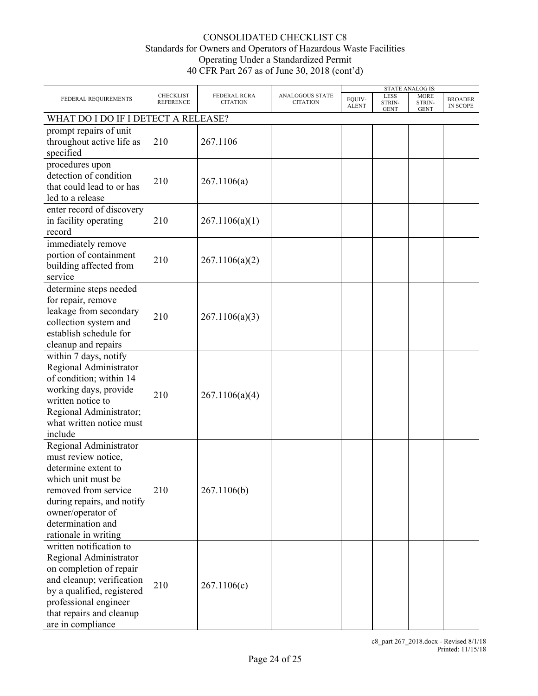|                                                                                                                                                                                                                    |                                      |                                 |                                    |                        |                               | <b>STATE ANALOG IS:</b>              |                                   |
|--------------------------------------------------------------------------------------------------------------------------------------------------------------------------------------------------------------------|--------------------------------------|---------------------------------|------------------------------------|------------------------|-------------------------------|--------------------------------------|-----------------------------------|
| FEDERAL REQUIREMENTS                                                                                                                                                                                               | <b>CHECKLIST</b><br><b>REFERENCE</b> | FEDERAL RCRA<br><b>CITATION</b> | ANALOGOUS STATE<br><b>CITATION</b> | EQUIV-<br><b>ALENT</b> | LESS<br>STRIN-<br><b>GENT</b> | <b>MORE</b><br>STRIN-<br><b>GENT</b> | <b>BROADER</b><br><b>IN SCOPE</b> |
| WHAT DO I DO IF I DETECT A RELEASE?                                                                                                                                                                                |                                      |                                 |                                    |                        |                               |                                      |                                   |
| prompt repairs of unit<br>throughout active life as<br>specified                                                                                                                                                   | 210                                  | 267.1106                        |                                    |                        |                               |                                      |                                   |
| procedures upon<br>detection of condition<br>that could lead to or has<br>led to a release                                                                                                                         | 210                                  | 267.1106(a)                     |                                    |                        |                               |                                      |                                   |
| enter record of discovery<br>in facility operating<br>record                                                                                                                                                       | 210                                  | 267.1106(a)(1)                  |                                    |                        |                               |                                      |                                   |
| immediately remove<br>portion of containment<br>building affected from<br>service                                                                                                                                  | 210                                  | 267.1106(a)(2)                  |                                    |                        |                               |                                      |                                   |
| determine steps needed<br>for repair, remove<br>leakage from secondary<br>collection system and<br>establish schedule for<br>cleanup and repairs                                                                   | 210                                  | 267.1106(a)(3)                  |                                    |                        |                               |                                      |                                   |
| within 7 days, notify<br>Regional Administrator<br>of condition; within 14<br>working days, provide<br>written notice to<br>Regional Administrator;<br>what written notice must<br>include                         | 210                                  | 267.1106(a)(4)                  |                                    |                        |                               |                                      |                                   |
| Regional Administrator<br>must review notice,<br>determine extent to<br>which unit must be<br>removed from service<br>during repairs, and notify<br>owner/operator of<br>determination and<br>rationale in writing | 210                                  | 267.1106(b)                     |                                    |                        |                               |                                      |                                   |
| written notification to<br>Regional Administrator<br>on completion of repair<br>and cleanup; verification<br>by a qualified, registered<br>professional engineer<br>that repairs and cleanup<br>are in compliance  | 210                                  | 267.1106(c)                     |                                    |                        |                               |                                      |                                   |